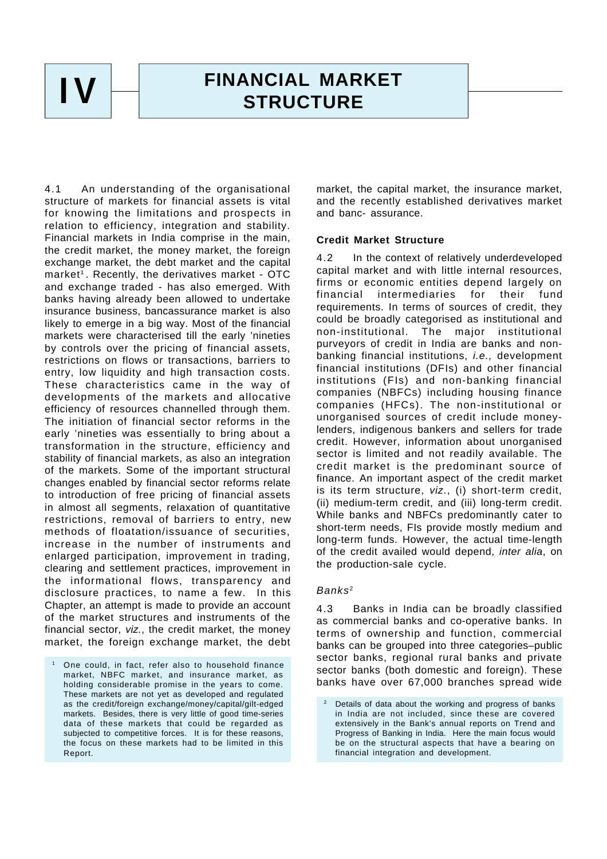**IV**

# **FINANCIAL MARKET STRUCTURE**

4.1 An understanding of the organisational structure of markets for financial assets is vital for knowing the limitations and prospects in relation to efficiency, integration and stability. Financial markets in India comprise in the main, the credit market, the money market, the foreign exchange market, the debt market and the capital market<sup>1</sup>. Recently, the derivatives market - OTC and exchange traded - has also emerged. With banks having already been allowed to undertake insurance business, bancassurance market is also likely to emerge in a big way. Most of the financial markets were characterised till the early 'nineties by controls over the pricing of financial assets, restrictions on flows or transactions, barriers to entry, low liquidity and high transaction costs. These characteristics came in the way of developments of the markets and allocative efficiency of resources channelled through them. The initiation of financial sector reforms in the early 'nineties was essentially to bring about a transformation in the structure, efficiency and stability of financial markets, as also an integration of the markets. Some of the important structural changes enabled by financial sector reforms relate to introduction of free pricing of financial assets in almost all segments, relaxation of quantitative restrictions, removal of barriers to entry, new methods of floatation/issuance of securities, increase in the number of instruments and enlarged participation, improvement in trading, clearing and settlement practices, improvement in the informational flows, transparency and disclosure practices, to name a few. In this Chapter, an attempt is made to provide an account of the market structures and instruments of the financial sector, *viz.*, the credit market, the money market, the foreign exchange market, the debt

market, the capital market, the insurance market, and the recently established derivatives market and banc- assurance.

# **Credit Market Structure**

4.2 In the context of relatively underdeveloped capital market and with little internal resources, firms or economic entities depend largely on financial intermediaries for their fund requirements. In terms of sources of credit, they could be broadly categorised as institutional and non-institutional. The major institutional purveyors of credit in India are banks and nonbanking financial institutions, *i.e.,* development financial institutions (DFIs) and other financial institutions (FIs) and non-banking financial companies (NBFCs) including housing finance companies (HFCs). The non-institutional or unorganised sources of credit include moneylenders, indigenous bankers and sellers for trade credit. However, information about unorganised sector is limited and not readily available. The credit market is the predominant source of finance. An important aspect of the credit market is its term structure, *viz*., (i) short-term credit, (ii) medium-term credit, and (iii) long-term credit. While banks and NBFCs predominantly cater to short-term needs, FIs provide mostly medium and long-term funds. However, the actual time-length of the credit availed would depend, *inter alia*, on the production-sale cycle.

# *Banks* <sup>2</sup>

4.3 Banks in India can be broadly classified as commercial banks and co-operative banks. In terms of ownership and function, commercial banks can be grouped into three categories–public sector banks, regional rural banks and private sector banks (both domestic and foreign). These banks have over 67,000 branches spread wide

<sup>1</sup> One could, in fact, refer also to household finance market, NBFC market, and insurance market, as holding considerable promise in the years to come. These markets are not yet as developed and regulated as the credit/foreign exchange/money/capital/gilt-edged markets. Besides, there is very little of good time-series data of these markets that could be regarded as subjected to competitive forces. It is for these reasons, the focus on these markets had to be limited in this Report.

Details of data about the working and progress of banks in India are not included, since these are covered extensively in the Bank's annual reports on Trend and Progress of Banking in India. Here the main focus would be on the structural aspects that have a bearing on financial integration and development.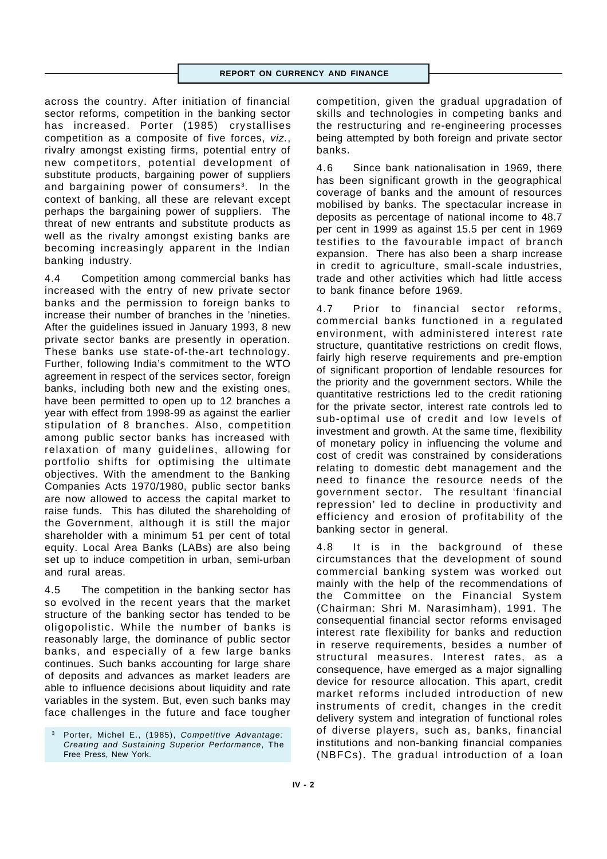across the country. After initiation of financial sector reforms, competition in the banking sector has increased. Porter (1985) crystallises competition as a composite of five forces, *viz.*, rivalry amongst existing firms, potential entry of new competitors, potential development of substitute products, bargaining power of suppliers and bargaining power of consumers<sup>3</sup>. In the context of banking, all these are relevant except perhaps the bargaining power of suppliers. The threat of new entrants and substitute products as well as the rivalry amongst existing banks are becoming increasingly apparent in the Indian banking industry.

4.4 Competition among commercial banks has increased with the entry of new private sector banks and the permission to foreign banks to increase their number of branches in the 'nineties. After the guidelines issued in January 1993, 8 new private sector banks are presently in operation. These banks use state-of-the-art technology. Further, following India's commitment to the WTO agreement in respect of the services sector, foreign banks, including both new and the existing ones, have been permitted to open up to 12 branches a year with effect from 1998-99 as against the earlier stipulation of 8 branches. Also, competition among public sector banks has increased with relaxation of many guidelines, allowing for portfolio shifts for optimising the ultimate objectives. With the amendment to the Banking Companies Acts 1970/1980, public sector banks are now allowed to access the capital market to raise funds. This has diluted the shareholding of the Government, although it is still the major shareholder with a minimum 51 per cent of total equity. Local Area Banks (LABs) are also being set up to induce competition in urban, semi-urban and rural areas.

4.5 The competition in the banking sector has so evolved in the recent years that the market structure of the banking sector has tended to be oligopolistic. While the number of banks is reasonably large, the dominance of public sector banks, and especially of a few large banks continues. Such banks accounting for large share of deposits and advances as market leaders are able to influence decisions about liquidity and rate variables in the system. But, even such banks may face challenges in the future and face tougher competition, given the gradual upgradation of skills and technologies in competing banks and the restructuring and re-engineering processes being attempted by both foreign and private sector banks.

4.6 Since bank nationalisation in 1969, there has been significant growth in the geographical coverage of banks and the amount of resources mobilised by banks. The spectacular increase in deposits as percentage of national income to 48.7 per cent in 1999 as against 15.5 per cent in 1969 testifies to the favourable impact of branch expansion. There has also been a sharp increase in credit to agriculture, small-scale industries, trade and other activities which had little access to bank finance before 1969.

4.7 Prior to financial sector reforms, commercial banks functioned in a regulated environment, with administered interest rate structure, quantitative restrictions on credit flows, fairly high reserve requirements and pre-emption of significant proportion of lendable resources for the priority and the government sectors. While the quantitative restrictions led to the credit rationing for the private sector, interest rate controls led to sub-optimal use of credit and low levels of investment and growth. At the same time, flexibility of monetary policy in influencing the volume and cost of credit was constrained by considerations relating to domestic debt management and the need to finance the resource needs of the government sector. The resultant 'financial repression' led to decline in productivity and efficiency and erosion of profitability of the banking sector in general.

4.8 It is in the background of these circumstances that the development of sound commercial banking system was worked out mainly with the help of the recommendations of the Committee on the Financial System (Chairman: Shri M. Narasimham), 1991. The consequential financial sector reforms envisaged interest rate flexibility for banks and reduction in reserve requirements, besides a number of structural measures. Interest rates, as a consequence, have emerged as a major signalling device for resource allocation. This apart, credit market reforms included introduction of new instruments of credit, changes in the credit delivery system and integration of functional roles of diverse players, such as, banks, financial institutions and non-banking financial companies (NBFCs). The gradual introduction of a loan

<sup>3</sup> Porter, Michel E., (1985), *Competitive Advantage: Creating and Sustaining Superior Performance*, The Free Press, New York.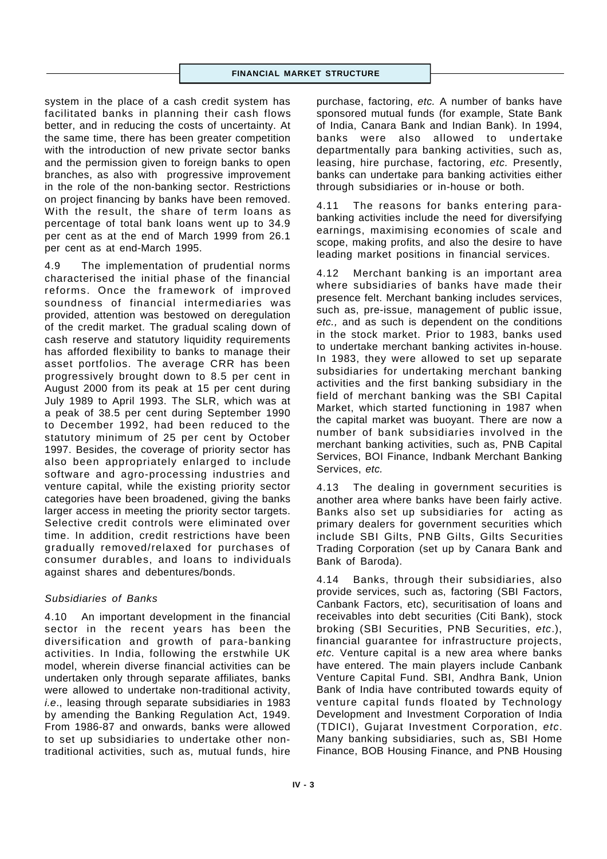#### **FINANCIAL MARKET STRUCTURE**

system in the place of a cash credit system has facilitated banks in planning their cash flows better, and in reducing the costs of uncertainty. At the same time, there has been greater competition with the introduction of new private sector banks and the permission given to foreign banks to open branches, as also with progressive improvement in the role of the non-banking sector. Restrictions on project financing by banks have been removed. With the result, the share of term loans as percentage of total bank loans went up to 34.9 per cent as at the end of March 1999 from 26.1 per cent as at end-March 1995.

4.9 The implementation of prudential norms characterised the initial phase of the financial reforms. Once the framework of improved soundness of financial intermediaries was provided, attention was bestowed on deregulation of the credit market. The gradual scaling down of cash reserve and statutory liquidity requirements has afforded flexibility to banks to manage their asset portfolios. The average CRR has been progressively brought down to 8.5 per cent in August 2000 from its peak at 15 per cent during July 1989 to April 1993. The SLR, which was at a peak of 38.5 per cent during September 1990 to December 1992, had been reduced to the statutory minimum of 25 per cent by October 1997. Besides, the coverage of priority sector has also been appropriately enlarged to include software and agro-processing industries and venture capital, while the existing priority sector categories have been broadened, giving the banks larger access in meeting the priority sector targets. Selective credit controls were eliminated over time. In addition, credit restrictions have been gradually removed/relaxed for purchases of consumer durables, and loans to individuals against shares and debentures/bonds.

# *Subsidiaries of Banks*

4.10 An important development in the financial sector in the recent years has been the diversification and growth of para-banking activities. In India, following the erstwhile UK model, wherein diverse financial activities can be undertaken only through separate affiliates, banks were allowed to undertake non-traditional activity, *i.e*., leasing through separate subsidiaries in 1983 by amending the Banking Regulation Act, 1949. From 1986-87 and onwards, banks were allowed to set up subsidiaries to undertake other nontraditional activities, such as, mutual funds, hire

purchase, factoring, *etc.* A number of banks have sponsored mutual funds (for example, State Bank of India, Canara Bank and Indian Bank). In 1994, banks were also allowed to undertake departmentally para banking activities, such as, leasing, hire purchase, factoring, *etc.* Presently, banks can undertake para banking activities either through subsidiaries or in-house or both.

4.11 The reasons for banks entering parabanking activities include the need for diversifying earnings, maximising economies of scale and scope, making profits, and also the desire to have leading market positions in financial services.

4.12 Merchant banking is an important area where subsidiaries of banks have made their presence felt. Merchant banking includes services, such as, pre-issue, management of public issue, *etc.,* and as such is dependent on the conditions in the stock market. Prior to 1983, banks used to undertake merchant banking activites in-house. In 1983, they were allowed to set up separate subsidiaries for undertaking merchant banking activities and the first banking subsidiary in the field of merchant banking was the SBI Capital Market, which started functioning in 1987 when the capital market was buoyant. There are now a number of bank subsidiaries involved in the merchant banking activities, such as, PNB Capital Services, BOI Finance, Indbank Merchant Banking Services, *etc.*

4.13 The dealing in government securities is another area where banks have been fairly active. Banks also set up subsidiaries for acting as primary dealers for government securities which include SBI Gilts, PNB Gilts, Gilts Securities Trading Corporation (set up by Canara Bank and Bank of Baroda).

4.14 Banks, through their subsidiaries, also provide services, such as, factoring (SBI Factors, Canbank Factors, etc), securitisation of loans and receivables into debt securities (Citi Bank), stock broking (SBI Securities, PNB Securities, *etc*.), financial guarantee for infrastructure projects, *etc.* Venture capital is a new area where banks have entered. The main players include Canbank Venture Capital Fund. SBI, Andhra Bank, Union Bank of India have contributed towards equity of venture capital funds floated by Technology Development and Investment Corporation of India (TDICI), Gujarat Investment Corporation, *etc*. Many banking subsidiaries, such as, SBI Home Finance, BOB Housing Finance, and PNB Housing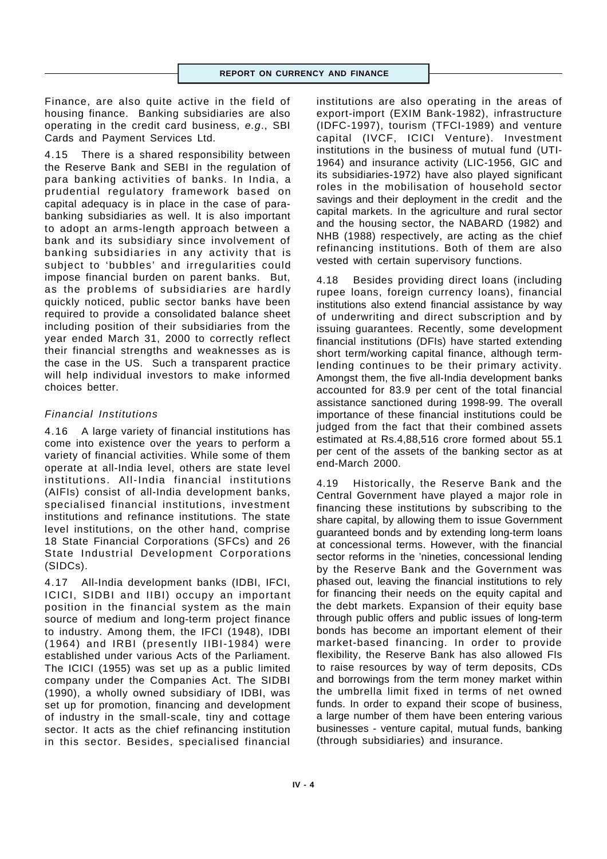Finance, are also quite active in the field of housing finance. Banking subsidiaries are also operating in the credit card business, *e.g*., SBI Cards and Payment Services Ltd.

4.15 There is a shared responsibility between the Reserve Bank and SEBI in the regulation of para banking activities of banks. In India, a prudential regulatory framework based on capital adequacy is in place in the case of parabanking subsidiaries as well. It is also important to adopt an arms-length approach between a bank and its subsidiary since involvement of banking subsidiaries in any activity that is subject to 'bubbles' and irregularities could impose financial burden on parent banks. But, as the problems of subsidiaries are hardly quickly noticed, public sector banks have been required to provide a consolidated balance sheet including position of their subsidiaries from the year ended March 31, 2000 to correctly reflect their financial strengths and weaknesses as is the case in the US. Such a transparent practice will help individual investors to make informed choices better.

# *Financial Institutions*

4.16 A large variety of financial institutions has come into existence over the years to perform a variety of financial activities. While some of them operate at all-India level, others are state level institutions. All-India financial institutions (AIFIs) consist of all-India development banks, specialised financial institutions, investment institutions and refinance institutions. The state level institutions, on the other hand, comprise 18 State Financial Corporations (SFCs) and 26 State Industrial Development Corporations (SIDCs).

4.17 All-India development banks (IDBI, IFCI, ICICI, SIDBI and IIBI) occupy an important position in the financial system as the main source of medium and long-term project finance to industry. Among them, the IFCI (1948), IDBI (1964) and IRBI (presently IIBI-1984) were established under various Acts of the Parliament. The ICICI (1955) was set up as a public limited company under the Companies Act. The SIDBI (1990), a wholly owned subsidiary of IDBI, was set up for promotion, financing and development of industry in the small-scale, tiny and cottage sector. It acts as the chief refinancing institution in this sector. Besides, specialised financial

institutions are also operating in the areas of export-import (EXIM Bank-1982), infrastructure (IDFC-1997), tourism (TFCI-1989) and venture capital (IVCF, ICICI Venture). Investment institutions in the business of mutual fund (UTI-1964) and insurance activity (LIC-1956, GIC and its subsidiaries-1972) have also played significant roles in the mobilisation of household sector savings and their deployment in the credit and the capital markets. In the agriculture and rural sector and the housing sector, the NABARD (1982) and NHB (1988) respectively, are acting as the chief refinancing institutions. Both of them are also vested with certain supervisory functions.

4.18 Besides providing direct loans (including rupee loans, foreign currency loans), financial institutions also extend financial assistance by way of underwriting and direct subscription and by issuing guarantees. Recently, some development financial institutions (DFIs) have started extending short term/working capital finance, although termlending continues to be their primary activity. Amongst them, the five all-India development banks accounted for 83.9 per cent of the total financial assistance sanctioned during 1998-99. The overall importance of these financial institutions could be judged from the fact that their combined assets estimated at Rs.4,88,516 crore formed about 55.1 per cent of the assets of the banking sector as at end-March 2000.

4.19 Historically, the Reserve Bank and the Central Government have played a major role in financing these institutions by subscribing to the share capital, by allowing them to issue Government guaranteed bonds and by extending long-term loans at concessional terms. However, with the financial sector reforms in the 'nineties, concessional lending by the Reserve Bank and the Government was phased out, leaving the financial institutions to rely for financing their needs on the equity capital and the debt markets. Expansion of their equity base through public offers and public issues of long-term bonds has become an important element of their market-based financing. In order to provide flexibility, the Reserve Bank has also allowed FIs to raise resources by way of term deposits, CDs and borrowings from the term money market within the umbrella limit fixed in terms of net owned funds. In order to expand their scope of business, a large number of them have been entering various businesses - venture capital, mutual funds, banking (through subsidiaries) and insurance.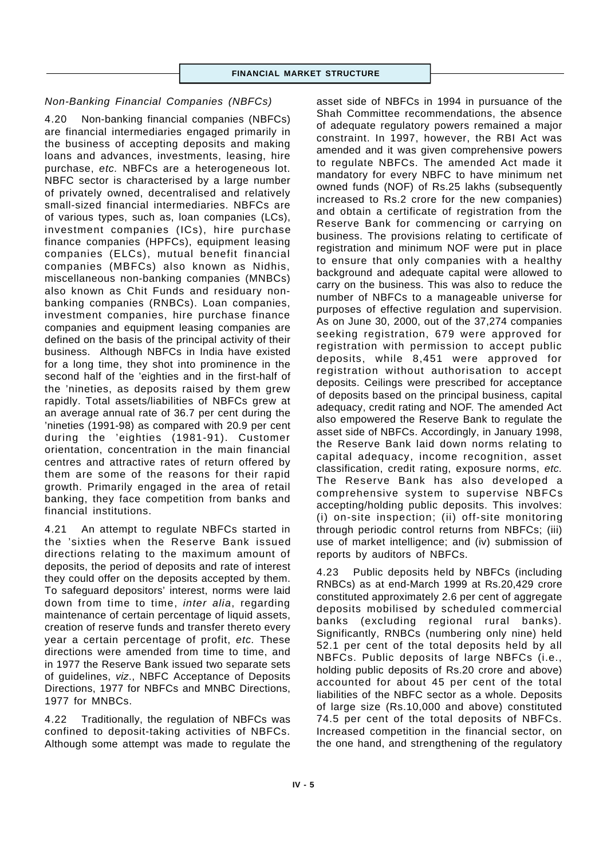# *Non-Banking Financial Companies (NBFCs)*

4.20 Non-banking financial companies (NBFCs) are financial intermediaries engaged primarily in the business of accepting deposits and making loans and advances, investments, leasing, hire purchase, *etc.* NBFCs are a heterogeneous lot. NBFC sector is characterised by a large number of privately owned, decentralised and relatively small-sized financial intermediaries. NBFCs are of various types, such as, loan companies (LCs), investment companies (ICs), hire purchase finance companies (HPFCs), equipment leasing companies (ELCs), mutual benefit financial companies (MBFCs) also known as Nidhis, miscellaneous non-banking companies (MNBCs) also known as Chit Funds and residuary nonbanking companies (RNBCs). Loan companies, investment companies, hire purchase finance companies and equipment leasing companies are defined on the basis of the principal activity of their business. Although NBFCs in India have existed for a long time, they shot into prominence in the second half of the 'eighties and in the first-half of the 'nineties, as deposits raised by them grew rapidly. Total assets/liabilities of NBFCs grew at an average annual rate of 36.7 per cent during the 'nineties (1991-98) as compared with 20.9 per cent during the 'eighties (1981-91). Customer orientation, concentration in the main financial centres and attractive rates of return offered by them are some of the reasons for their rapid growth. Primarily engaged in the area of retail banking, they face competition from banks and financial institutions.

4.21 An attempt to regulate NBFCs started in the 'sixties when the Reserve Bank issued directions relating to the maximum amount of deposits, the period of deposits and rate of interest they could offer on the deposits accepted by them. To safeguard depositors' interest, norms were laid down from time to time, *inter alia*, regarding maintenance of certain percentage of liquid assets, creation of reserve funds and transfer thereto every year a certain percentage of profit, *etc.* These directions were amended from time to time, and in 1977 the Reserve Bank issued two separate sets of guidelines, *viz*., NBFC Acceptance of Deposits Directions, 1977 for NBFCs and MNBC Directions, 1977 for MNBCs.

4.22 Traditionally, the regulation of NBFCs was confined to deposit-taking activities of NBFCs. Although some attempt was made to regulate the

asset side of NBFCs in 1994 in pursuance of the Shah Committee recommendations, the absence of adequate regulatory powers remained a major constraint. In 1997, however, the RBI Act was amended and it was given comprehensive powers to regulate NBFCs. The amended Act made it mandatory for every NBFC to have minimum net owned funds (NOF) of Rs.25 lakhs (subsequently increased to Rs.2 crore for the new companies) and obtain a certificate of registration from the Reserve Bank for commencing or carrying on business. The provisions relating to certificate of registration and minimum NOF were put in place to ensure that only companies with a healthy background and adequate capital were allowed to carry on the business. This was also to reduce the number of NBFCs to a manageable universe for purposes of effective regulation and supervision. As on June 30, 2000, out of the 37,274 companies seeking registration, 679 were approved for registration with permission to accept public deposits, while 8,451 were approved for registration without authorisation to accept deposits. Ceilings were prescribed for acceptance of deposits based on the principal business, capital adequacy, credit rating and NOF. The amended Act also empowered the Reserve Bank to regulate the asset side of NBFCs. Accordingly, in January 1998, the Reserve Bank laid down norms relating to capital adequacy, income recognition, asset classification, credit rating, exposure norms, *etc.* The Reserve Bank has also developed a comprehensive system to supervise NBFCs accepting/holding public deposits. This involves: (i) on-site inspection; (ii) off-site monitoring through periodic control returns from NBFCs; (iii) use of market intelligence; and (iv) submission of reports by auditors of NBFCs.

4.23 Public deposits held by NBFCs (including RNBCs) as at end-March 1999 at Rs.20,429 crore constituted approximately 2.6 per cent of aggregate deposits mobilised by scheduled commercial banks (excluding regional rural banks). Significantly, RNBCs (numbering only nine) held 52.1 per cent of the total deposits held by all NBFCs. Public deposits of large NBFCs (i.e., holding public deposits of Rs.20 crore and above) accounted for about 45 per cent of the total liabilities of the NBFC sector as a whole. Deposits of large size (Rs.10,000 and above) constituted 74.5 per cent of the total deposits of NBFCs. Increased competition in the financial sector, on the one hand, and strengthening of the regulatory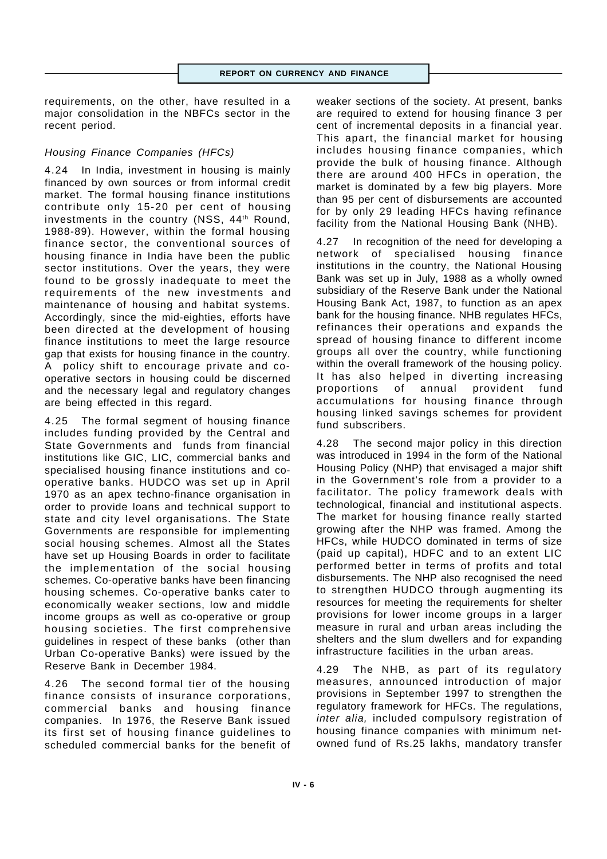requirements, on the other, have resulted in a major consolidation in the NBFCs sector in the recent period.

## *Housing Finance Companies (HFCs)*

4.24 In India, investment in housing is mainly financed by own sources or from informal credit market. The formal housing finance institutions contribute only 15-20 per cent of housing investments in the country (NSS, 44<sup>th</sup> Round, 1988-89). However, within the formal housing finance sector, the conventional sources of housing finance in India have been the public sector institutions. Over the years, they were found to be grossly inadequate to meet the requirements of the new investments and maintenance of housing and habitat systems. Accordingly, since the mid-eighties, efforts have been directed at the development of housing finance institutions to meet the large resource gap that exists for housing finance in the country. A policy shift to encourage private and cooperative sectors in housing could be discerned and the necessary legal and regulatory changes are being effected in this regard.

4.25 The formal segment of housing finance includes funding provided by the Central and State Governments and funds from financial institutions like GIC, LIC, commercial banks and specialised housing finance institutions and cooperative banks. HUDCO was set up in April 1970 as an apex techno-finance organisation in order to provide loans and technical support to state and city level organisations. The State Governments are responsible for implementing social housing schemes. Almost all the States have set up Housing Boards in order to facilitate the implementation of the social housing schemes. Co-operative banks have been financing housing schemes. Co-operative banks cater to economically weaker sections, low and middle income groups as well as co-operative or group housing societies. The first comprehensive guidelines in respect of these banks (other than Urban Co-operative Banks) were issued by the Reserve Bank in December 1984.

4.26 The second formal tier of the housing finance consists of insurance corporations, commercial banks and housing finance companies. In 1976, the Reserve Bank issued its first set of housing finance guidelines to scheduled commercial banks for the benefit of

weaker sections of the society. At present, banks are required to extend for housing finance 3 per cent of incremental deposits in a financial year. This apart, the financial market for housing includes housing finance companies, which provide the bulk of housing finance. Although there are around 400 HFCs in operation, the market is dominated by a few big players. More than 95 per cent of disbursements are accounted for by only 29 leading HFCs having refinance facility from the National Housing Bank (NHB).

4.27 In recognition of the need for developing a network of specialised housing finance institutions in the country, the National Housing Bank was set up in July, 1988 as a wholly owned subsidiary of the Reserve Bank under the National Housing Bank Act, 1987, to function as an apex bank for the housing finance. NHB regulates HFCs, refinances their operations and expands the spread of housing finance to different income groups all over the country, while functioning within the overall framework of the housing policy. It has also helped in diverting increasing proportions of annual provident fund accumulations for housing finance through housing linked savings schemes for provident fund subscribers.

4.28 The second major policy in this direction was introduced in 1994 in the form of the National Housing Policy (NHP) that envisaged a major shift in the Government's role from a provider to a facilitator. The policy framework deals with technological, financial and institutional aspects. The market for housing finance really started growing after the NHP was framed. Among the HFCs, while HUDCO dominated in terms of size (paid up capital), HDFC and to an extent LIC performed better in terms of profits and total disbursements. The NHP also recognised the need to strengthen HUDCO through augmenting its resources for meeting the requirements for shelter provisions for lower income groups in a larger measure in rural and urban areas including the shelters and the slum dwellers and for expanding infrastructure facilities in the urban areas.

4.29 The NHB, as part of its regulatory measures, announced introduction of major provisions in September 1997 to strengthen the regulatory framework for HFCs. The regulations, *inter alia,* included compulsory registration of housing finance companies with minimum netowned fund of Rs.25 lakhs, mandatory transfer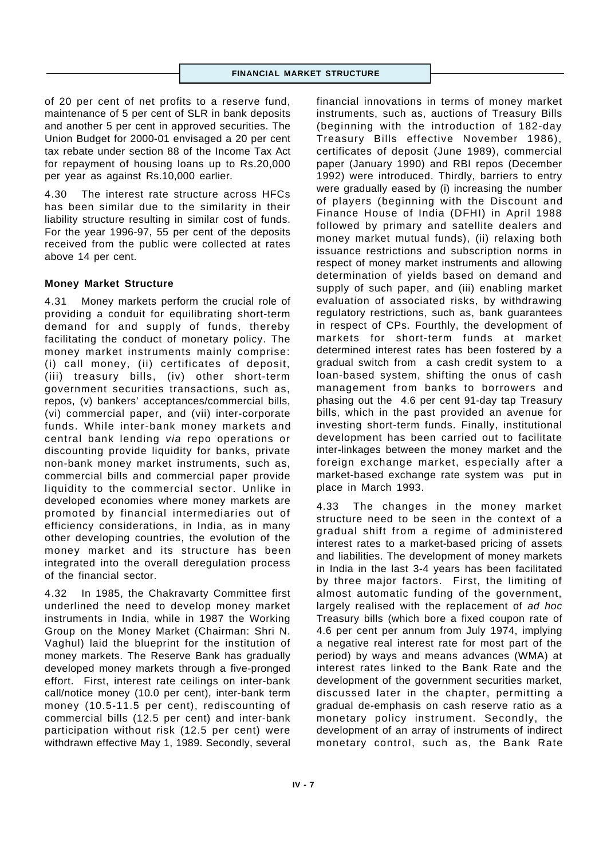of 20 per cent of net profits to a reserve fund, maintenance of 5 per cent of SLR in bank deposits and another 5 per cent in approved securities. The Union Budget for 2000-01 envisaged a 20 per cent tax rebate under section 88 of the Income Tax Act for repayment of housing loans up to Rs.20,000 per year as against Rs.10,000 earlier.

4.30 The interest rate structure across HFCs has been similar due to the similarity in their liability structure resulting in similar cost of funds. For the year 1996-97, 55 per cent of the deposits received from the public were collected at rates above 14 per cent.

## **Money Market Structure**

4.31 Money markets perform the crucial role of providing a conduit for equilibrating short-term demand for and supply of funds, thereby facilitating the conduct of monetary policy. The money market instruments mainly comprise: (i) call money, (ii) certificates of deposit, (iii) treasury bills, (iv) other short-term government securities transactions, such as, repos, (v) bankers' acceptances/commercial bills, (vi) commercial paper, and (vii) inter-corporate funds. While inter-bank money markets and central bank lending *via* repo operations or discounting provide liquidity for banks, private non-bank money market instruments, such as, commercial bills and commercial paper provide liquidity to the commercial sector. Unlike in developed economies where money markets are promoted by financial intermediaries out of efficiency considerations, in India, as in many other developing countries, the evolution of the money market and its structure has been integrated into the overall deregulation process of the financial sector.

4.32 In 1985, the Chakravarty Committee first underlined the need to develop money market instruments in India, while in 1987 the Working Group on the Money Market (Chairman: Shri N. Vaghul) laid the blueprint for the institution of money markets. The Reserve Bank has gradually developed money markets through a five-pronged effort. First, interest rate ceilings on inter-bank call/notice money (10.0 per cent), inter-bank term money (10.5-11.5 per cent), rediscounting of commercial bills (12.5 per cent) and inter-bank participation without risk (12.5 per cent) were withdrawn effective May 1, 1989. Secondly, several

financial innovations in terms of money market instruments, such as, auctions of Treasury Bills (beginning with the introduction of 182-day Treasury Bills effective November 1986), certificates of deposit (June 1989), commercial paper (January 1990) and RBI repos (December 1992) were introduced. Thirdly, barriers to entry were gradually eased by (i) increasing the number of players (beginning with the Discount and Finance House of India (DFHI) in April 1988 followed by primary and satellite dealers and money market mutual funds), (ii) relaxing both issuance restrictions and subscription norms in respect of money market instruments and allowing determination of yields based on demand and supply of such paper, and (iii) enabling market evaluation of associated risks, by withdrawing regulatory restrictions, such as, bank guarantees in respect of CPs. Fourthly, the development of markets for short-term funds at market determined interest rates has been fostered by a gradual switch from a cash credit system to a loan-based system, shifting the onus of cash management from banks to borrowers and phasing out the 4.6 per cent 91-day tap Treasury bills, which in the past provided an avenue for investing short-term funds. Finally, institutional development has been carried out to facilitate inter-linkages between the money market and the foreign exchange market, especially after a market-based exchange rate system was put in place in March 1993.

4.33 The changes in the money market structure need to be seen in the context of a gradual shift from a regime of administered interest rates to a market-based pricing of assets and liabilities. The development of money markets in India in the last 3-4 years has been facilitated by three major factors. First, the limiting of almost automatic funding of the government, largely realised with the replacement of *ad hoc* Treasury bills (which bore a fixed coupon rate of 4.6 per cent per annum from July 1974, implying a negative real interest rate for most part of the period) by ways and means advances (WMA) at interest rates linked to the Bank Rate and the development of the government securities market, discussed later in the chapter, permitting a gradual de-emphasis on cash reserve ratio as a monetary policy instrument. Secondly, the development of an array of instruments of indirect monetary control, such as, the Bank Rate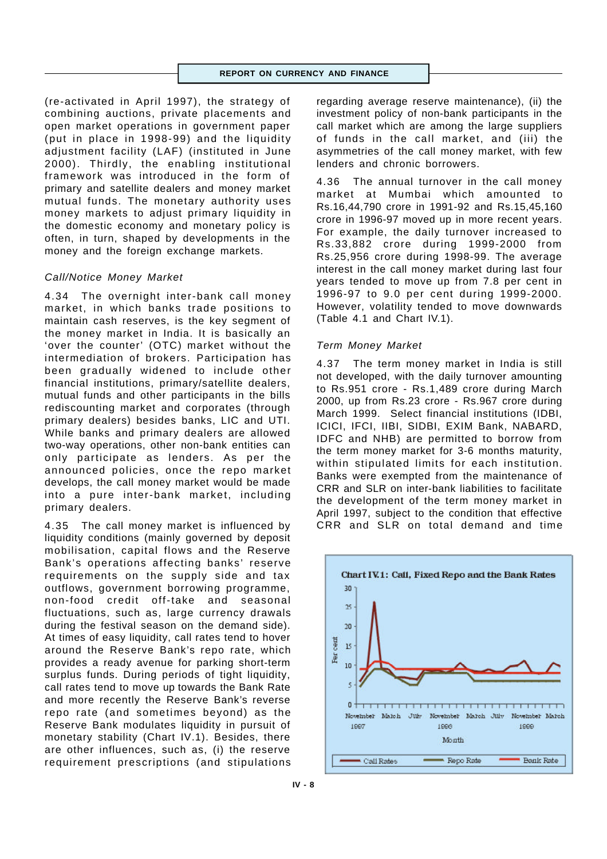(re-activated in April 1997), the strategy of combining auctions, private placements and open market operations in government paper (put in place in 1998-99) and the liquidity adjustment facility (LAF) (instituted in June 2000). Thirdly, the enabling institutional framework was introduced in the form of primary and satellite dealers and money market mutual funds. The monetary authority uses money markets to adjust primary liquidity in the domestic economy and monetary policy is often, in turn, shaped by developments in the money and the foreign exchange markets.

## *Call/Notice Money Market*

4.34 The overnight inter-bank call money market, in which banks trade positions to maintain cash reserves, is the key segment of the money market in India. It is basically an 'over the counter' (OTC) market without the intermediation of brokers. Participation has been gradually widened to include other financial institutions, primary/satellite dealers, mutual funds and other participants in the bills rediscounting market and corporates (through primary dealers) besides banks, LIC and UTI. While banks and primary dealers are allowed two-way operations, other non-bank entities can only participate as lenders. As per the announced policies, once the repo market develops, the call money market would be made into a pure inter-bank market, including primary dealers.

4.35 The call money market is influenced by liquidity conditions (mainly governed by deposit mobilisation, capital flows and the Reserve Bank's operations affecting banks' reserve requirements on the supply side and tax outflows, government borrowing programme, non-food credit off-take and seasonal fluctuations, such as, large currency drawals during the festival season on the demand side). At times of easy liquidity, call rates tend to hover around the Reserve Bank's repo rate, which provides a ready avenue for parking short-term surplus funds. During periods of tight liquidity, call rates tend to move up towards the Bank Rate and more recently the Reserve Bank's reverse repo rate (and sometimes beyond) as the Reserve Bank modulates liquidity in pursuit of monetary stability (Chart IV.1). Besides, there are other influences, such as, (i) the reserve requirement prescriptions (and stipulations regarding average reserve maintenance), (ii) the investment policy of non-bank participants in the call market which are among the large suppliers of funds in the call market, and (iii) the asymmetries of the call money market, with few lenders and chronic borrowers.

4.36 The annual turnover in the call money market at Mumbai which amounted to Rs.16,44,790 crore in 1991-92 and Rs.15,45,160 crore in 1996-97 moved up in more recent years. For example, the daily turnover increased to Rs.33,882 crore during 1999-2000 from Rs.25,956 crore during 1998-99. The average interest in the call money market during last four years tended to move up from 7.8 per cent in 1996-97 to 9.0 per cent during 1999-2000. However, volatility tended to move downwards (Table 4.1 and Chart IV.1).

#### *Term Money Market*

4.37 The term money market in India is still not developed, with the daily turnover amounting to Rs.951 crore - Rs.1,489 crore during March 2000, up from Rs.23 crore - Rs.967 crore during March 1999. Select financial institutions (IDBI, ICICI, IFCI, IIBI, SIDBI, EXIM Bank, NABARD, IDFC and NHB) are permitted to borrow from the term money market for 3-6 months maturity, within stipulated limits for each institution. Banks were exempted from the maintenance of CRR and SLR on inter-bank liabilities to facilitate the development of the term money market in April 1997, subject to the condition that effective CRR and SLR on total demand and time

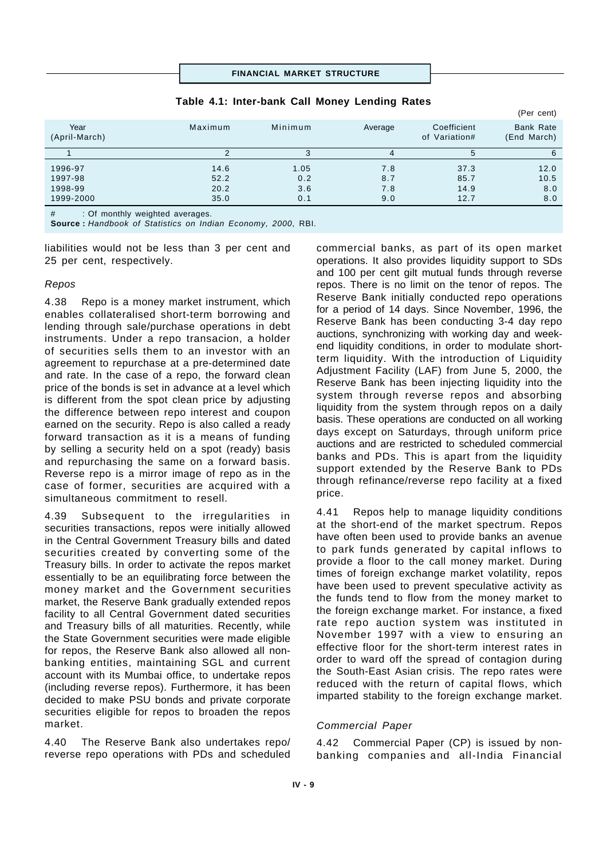#### **FINANCIAL MARKET STRUCTURE**

# (Per cent) Year 1986 Maximum Minimum Average Coefficient Bank Rate (April-March) of Variation# (End March) 1 2 3 4 5 6 1996-97 14.6 1.05 7.8 37.3 12.0 1997-98 52.2 0.2 8.7 85.7 10.5 1998-99 20.2 3.6 7.8 14.9 8.0 1999-2000 35.0 0.1 9.0 12.7 8.0

#### **Table 4.1: Inter-bank Call Money Lending Rates**

# : Of monthly weighted averages.

**Source :** *Handbook of Statistics on Indian Economy, 2000*, RBI.

liabilities would not be less than 3 per cent and 25 per cent, respectively.

#### *Repos*

4.38 Repo is a money market instrument, which enables collateralised short-term borrowing and lending through sale/purchase operations in debt instruments. Under a repo transacion, a holder of securities sells them to an investor with an agreement to repurchase at a pre-determined date and rate. In the case of a repo, the forward clean price of the bonds is set in advance at a level which is different from the spot clean price by adjusting the difference between repo interest and coupon earned on the security. Repo is also called a ready forward transaction as it is a means of funding by selling a security held on a spot (ready) basis and repurchasing the same on a forward basis. Reverse repo is a mirror image of repo as in the case of former, securities are acquired with a simultaneous commitment to resell.

4.39 Subsequent to the irregularities in securities transactions, repos were initially allowed in the Central Government Treasury bills and dated securities created by converting some of the Treasury bills. In order to activate the repos market essentially to be an equilibrating force between the money market and the Government securities market, the Reserve Bank gradually extended repos facility to all Central Government dated securities and Treasury bills of all maturities. Recently, while the State Government securities were made eligible for repos, the Reserve Bank also allowed all nonbanking entities, maintaining SGL and current account with its Mumbai office, to undertake repos (including reverse repos). Furthermore, it has been decided to make PSU bonds and private corporate securities eligible for repos to broaden the repos market.

4.40 The Reserve Bank also undertakes repo/ reverse repo operations with PDs and scheduled commercial banks, as part of its open market operations. It also provides liquidity support to SDs and 100 per cent gilt mutual funds through reverse repos. There is no limit on the tenor of repos. The Reserve Bank initially conducted repo operations for a period of 14 days. Since November, 1996, the Reserve Bank has been conducting 3-4 day repo auctions, synchronizing with working day and weekend liquidity conditions, in order to modulate shortterm liquidity. With the introduction of Liquidity Adjustment Facility (LAF) from June 5, 2000, the Reserve Bank has been injecting liquidity into the system through reverse repos and absorbing liquidity from the system through repos on a daily basis. These operations are conducted on all working days except on Saturdays, through uniform price auctions and are restricted to scheduled commercial banks and PDs. This is apart from the liquidity support extended by the Reserve Bank to PDs through refinance/reverse repo facility at a fixed price.

4.41 Repos help to manage liquidity conditions at the short-end of the market spectrum. Repos have often been used to provide banks an avenue to park funds generated by capital inflows to provide a floor to the call money market. During times of foreign exchange market volatility, repos have been used to prevent speculative activity as the funds tend to flow from the money market to the foreign exchange market. For instance, a fixed rate repo auction system was instituted in November 1997 with a view to ensuring an effective floor for the short-term interest rates in order to ward off the spread of contagion during the South-East Asian crisis. The repo rates were reduced with the return of capital flows, which imparted stability to the foreign exchange market.

## *Commercial Paper*

4.42 Commercial Paper (CP) is issued by nonbanking companies and all-India Financial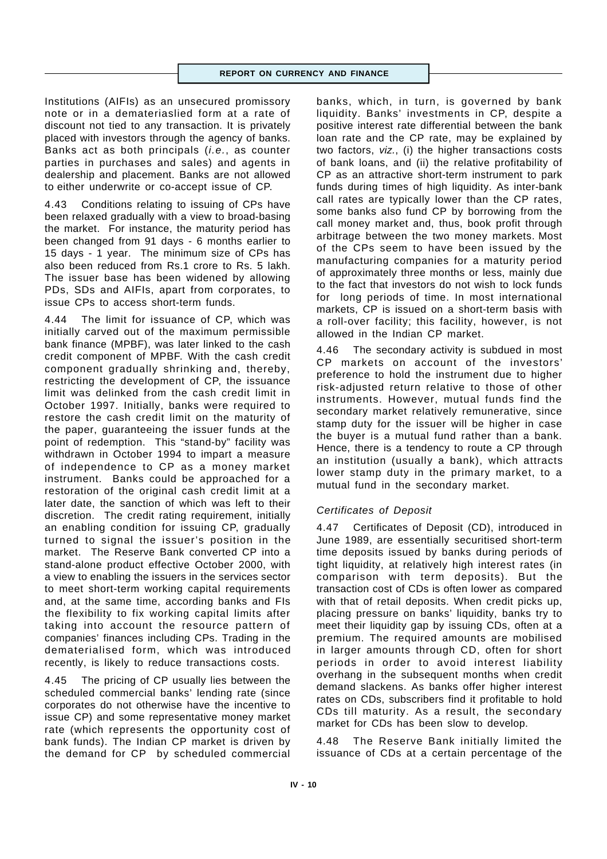Institutions (AIFIs) as an unsecured promissory note or in a demateriaslied form at a rate of discount not tied to any transaction. It is privately placed with investors through the agency of banks. Banks act as both principals (*i.e.*, as counter parties in purchases and sales) and agents in dealership and placement. Banks are not allowed to either underwrite or co-accept issue of CP.

4.43 Conditions relating to issuing of CPs have been relaxed gradually with a view to broad-basing the market. For instance, the maturity period has been changed from 91 days - 6 months earlier to 15 days - 1 year. The minimum size of CPs has also been reduced from Rs.1 crore to Rs. 5 lakh. The issuer base has been widened by allowing PDs, SDs and AIFIs, apart from corporates, to issue CPs to access short-term funds.

4.44 The limit for issuance of CP, which was initially carved out of the maximum permissible bank finance (MPBF), was later linked to the cash credit component of MPBF. With the cash credit component gradually shrinking and, thereby, restricting the development of CP, the issuance limit was delinked from the cash credit limit in October 1997. Initially, banks were required to restore the cash credit limit on the maturity of the paper, guaranteeing the issuer funds at the point of redemption. This "stand-by" facility was withdrawn in October 1994 to impart a measure of independence to CP as a money market instrument. Banks could be approached for a restoration of the original cash credit limit at a later date, the sanction of which was left to their discretion. The credit rating requirement, initially an enabling condition for issuing CP, gradually turned to signal the issuer's position in the market. The Reserve Bank converted CP into a stand-alone product effective October 2000, with a view to enabling the issuers in the services sector to meet short-term working capital requirements and, at the same time, according banks and FIs the flexibility to fix working capital limits after taking into account the resource pattern of companies' finances including CPs. Trading in the dematerialised form, which was introduced recently, is likely to reduce transactions costs.

4.45 The pricing of CP usually lies between the scheduled commercial banks' lending rate (since corporates do not otherwise have the incentive to issue CP) and some representative money market rate (which represents the opportunity cost of bank funds). The Indian CP market is driven by the demand for CP by scheduled commercial banks, which, in turn, is governed by bank liquidity. Banks' investments in CP, despite a positive interest rate differential between the bank loan rate and the CP rate, may be explained by two factors, *viz.*, (i) the higher transactions costs of bank loans, and (ii) the relative profitability of CP as an attractive short-term instrument to park funds during times of high liquidity. As inter-bank call rates are typically lower than the CP rates, some banks also fund CP by borrowing from the call money market and, thus, book profit through arbitrage between the two money markets. Most of the CPs seem to have been issued by the manufacturing companies for a maturity period of approximately three months or less, mainly due to the fact that investors do not wish to lock funds for long periods of time. In most international markets, CP is issued on a short-term basis with a roll-over facility; this facility, however, is not allowed in the Indian CP market.

4.46 The secondary activity is subdued in most CP markets on account of the investors' preference to hold the instrument due to higher risk-adjusted return relative to those of other instruments. However, mutual funds find the secondary market relatively remunerative, since stamp duty for the issuer will be higher in case the buyer is a mutual fund rather than a bank. Hence, there is a tendency to route a CP through an institution (usually a bank), which attracts lower stamp duty in the primary market, to a mutual fund in the secondary market.

# *Certificates of Deposit*

4.47 Certificates of Deposit (CD), introduced in June 1989, are essentially securitised short-term time deposits issued by banks during periods of tight liquidity, at relatively high interest rates (in comparison with term deposits). But the transaction cost of CDs is often lower as compared with that of retail deposits. When credit picks up, placing pressure on banks' liquidity, banks try to meet their liquidity gap by issuing CDs, often at a premium. The required amounts are mobilised in larger amounts through CD, often for short periods in order to avoid interest liability overhang in the subsequent months when credit demand slackens. As banks offer higher interest rates on CDs, subscribers find it profitable to hold CDs till maturity. As a result, the secondary market for CDs has been slow to develop.

4.48 The Reserve Bank initially limited the issuance of CDs at a certain percentage of the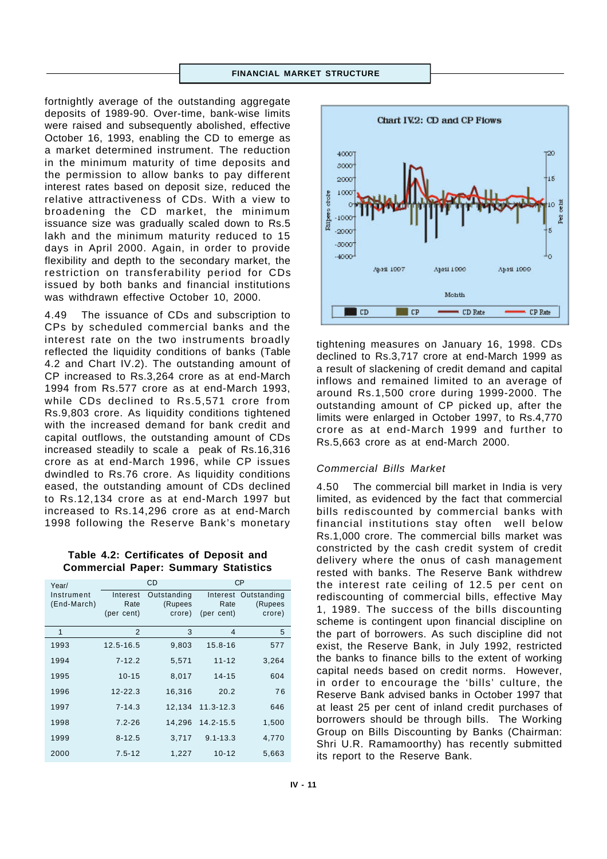#### **FINANCIAL MARKET STRUCTURE**

fortnightly average of the outstanding aggregate deposits of 1989-90. Over-time, bank-wise limits were raised and subsequently abolished, effective October 16, 1993, enabling the CD to emerge as a market determined instrument. The reduction in the minimum maturity of time deposits and the permission to allow banks to pay different interest rates based on deposit size, reduced the relative attractiveness of CDs. With a view to broadening the CD market, the minimum issuance size was gradually scaled down to Rs.5 lakh and the minimum maturity reduced to 15 days in April 2000. Again, in order to provide flexibility and depth to the secondary market, the restriction on transferability period for CDs issued by both banks and financial institutions was withdrawn effective October 10, 2000.

4.49 The issuance of CDs and subscription to CPs by scheduled commercial banks and the interest rate on the two instruments broadly reflected the liquidity conditions of banks (Table 4.2 and Chart IV.2). The outstanding amount of CP increased to Rs.3,264 crore as at end-March 1994 from Rs.577 crore as at end-March 1993, while CDs declined to Rs.5,571 crore from Rs.9,803 crore. As liquidity conditions tightened with the increased demand for bank credit and capital outflows, the outstanding amount of CDs increased steadily to scale a peak of Rs.16,316 crore as at end-March 1996, while CP issues dwindled to Rs.76 crore. As liquidity conditions eased, the outstanding amount of CDs declined to Rs.12,134 crore as at end-March 1997 but increased to Rs.14,296 crore as at end-March 1998 following the Reserve Bank's monetary

**Table 4.2: Certificates of Deposit and Commercial Paper: Summary Statistics**

| Year/       | <b>CD</b>   |             | CP            |             |
|-------------|-------------|-------------|---------------|-------------|
| Instrument  | Interest    | Outstanding | Interest      | Outstanding |
| (End-March) | Rate        | (Rupees     | Rate          | (Rupees     |
|             | (per cent)  | crore)      | (per cent)    | crore)      |
| 1           | 2           | 3           | 4             | 5           |
| 1993        | 12.5-16.5   | 9,803       | $15.8 - 16$   | 577         |
| 1994        | $7 - 12.2$  | 5,571       | $11 - 12$     | 3,264       |
| 1995        | $10 - 15$   | 8,017       | $14 - 15$     | 604         |
| 1996        | $12 - 22.3$ | 16,316      | 20.2          | 76          |
| 1997        | $7 - 14.3$  | 12,134      | $11.3 - 12.3$ | 646         |
| 1998        | $7.2 - 26$  | 14,296      | $14.2 - 15.5$ | 1,500       |
| 1999        | $8 - 12.5$  | 3,717       | $9.1 - 13.3$  | 4,770       |
| 2000        | $7.5 - 12$  | 1,227       | $10 - 12$     | 5,663       |



tightening measures on January 16, 1998. CDs declined to Rs.3,717 crore at end-March 1999 as a result of slackening of credit demand and capital inflows and remained limited to an average of around Rs.1,500 crore during 1999-2000. The outstanding amount of CP picked up, after the limits were enlarged in October 1997, to Rs.4,770 crore as at end-March 1999 and further to Rs.5,663 crore as at end-March 2000.

## *Commercial Bills Market*

4.50 The commercial bill market in India is very limited, as evidenced by the fact that commercial bills rediscounted by commercial banks with financial institutions stay often well below Rs.1,000 crore. The commercial bills market was constricted by the cash credit system of credit delivery where the onus of cash management rested with banks. The Reserve Bank withdrew the interest rate ceiling of 12.5 per cent on rediscounting of commercial bills, effective May 1, 1989. The success of the bills discounting scheme is contingent upon financial discipline on the part of borrowers. As such discipline did not exist, the Reserve Bank, in July 1992, restricted the banks to finance bills to the extent of working capital needs based on credit norms. However, in order to encourage the 'bills' culture, the Reserve Bank advised banks in October 1997 that at least 25 per cent of inland credit purchases of borrowers should be through bills. The Working Group on Bills Discounting by Banks (Chairman: Shri U.R. Ramamoorthy) has recently submitted its report to the Reserve Bank.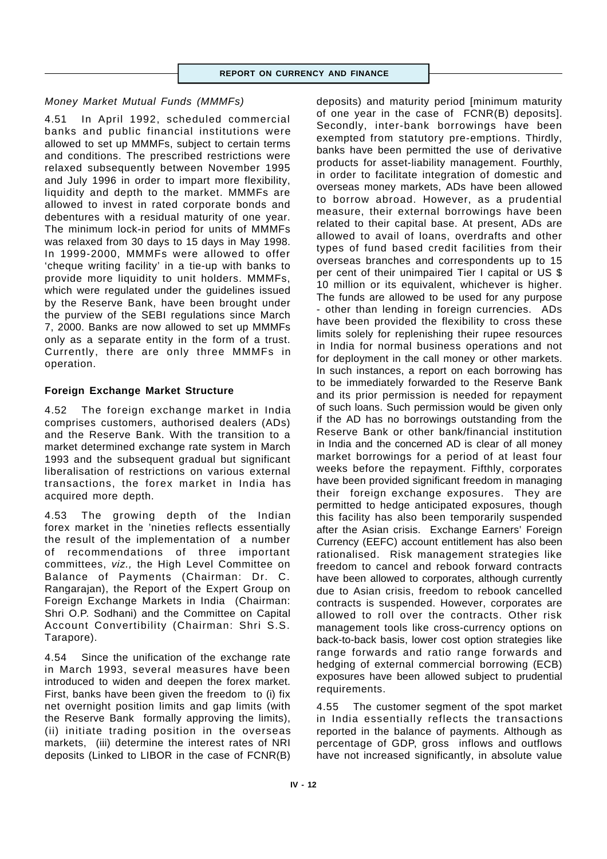# *Money Market Mutual Funds (MMMFs)*

4.51 In April 1992, scheduled commercial banks and public financial institutions were allowed to set up MMMFs, subject to certain terms and conditions. The prescribed restrictions were relaxed subsequently between November 1995 and July 1996 in order to impart more flexibility, liquidity and depth to the market. MMMFs are allowed to invest in rated corporate bonds and debentures with a residual maturity of one year. The minimum lock-in period for units of MMMFs was relaxed from 30 days to 15 days in May 1998. In 1999-2000, MMMFs were allowed to offer 'cheque writing facility' in a tie-up with banks to provide more liquidity to unit holders. MMMFs, which were regulated under the guidelines issued by the Reserve Bank, have been brought under the purview of the SEBI regulations since March 7, 2000. Banks are now allowed to set up MMMFs only as a separate entity in the form of a trust. Currently, there are only three MMMFs in operation.

# **Foreign Exchange Market Structure**

4.52 The foreign exchange market in India comprises customers, authorised dealers (ADs) and the Reserve Bank. With the transition to a market determined exchange rate system in March 1993 and the subsequent gradual but significant liberalisation of restrictions on various external transactions, the forex market in India has acquired more depth.

4.53 The growing depth of the Indian forex market in the 'nineties reflects essentially the result of the implementation of a number of recommendations of three important committees, *viz.,* the High Level Committee on Balance of Payments (Chairman: Dr. C. Rangarajan), the Report of the Expert Group on Foreign Exchange Markets in India (Chairman: Shri O.P. Sodhani) and the Committee on Capital Account Convertibility (Chairman: Shri S.S. Tarapore).

4.54 Since the unification of the exchange rate in March 1993, several measures have been introduced to widen and deepen the forex market. First, banks have been given the freedom to (i) fix net overnight position limits and gap limits (with the Reserve Bank formally approving the limits), (ii) initiate trading position in the overseas markets, (iii) determine the interest rates of NRI deposits (Linked to LIBOR in the case of FCNR(B)

deposits) and maturity period [minimum maturity of one year in the case of FCNR(B) deposits]. Secondly, inter-bank borrowings have been exempted from statutory pre-emptions. Thirdly, banks have been permitted the use of derivative products for asset-liability management. Fourthly, in order to facilitate integration of domestic and overseas money markets, ADs have been allowed to borrow abroad. However, as a prudential measure, their external borrowings have been related to their capital base. At present, ADs are allowed to avail of loans, overdrafts and other types of fund based credit facilities from their overseas branches and correspondents up to 15 per cent of their unimpaired Tier I capital or US \$ 10 million or its equivalent, whichever is higher. The funds are allowed to be used for any purpose - other than lending in foreign currencies. ADs have been provided the flexibility to cross these limits solely for replenishing their rupee resources in India for normal business operations and not for deployment in the call money or other markets. In such instances, a report on each borrowing has to be immediately forwarded to the Reserve Bank and its prior permission is needed for repayment of such loans. Such permission would be given only if the AD has no borrowings outstanding from the Reserve Bank or other bank/financial institution in India and the concerned AD is clear of all money market borrowings for a period of at least four weeks before the repayment. Fifthly, corporates have been provided significant freedom in managing their foreign exchange exposures. They are permitted to hedge anticipated exposures, though this facility has also been temporarily suspended after the Asian crisis. Exchange Earners' Foreign Currency (EEFC) account entitlement has also been rationalised. Risk management strategies like freedom to cancel and rebook forward contracts have been allowed to corporates, although currently due to Asian crisis, freedom to rebook cancelled contracts is suspended. However, corporates are allowed to roll over the contracts. Other risk management tools like cross-currency options on back-to-back basis, lower cost option strategies like range forwards and ratio range forwards and hedging of external commercial borrowing (ECB) exposures have been allowed subject to prudential requirements.

4.55 The customer segment of the spot market in India essentially reflects the transactions reported in the balance of payments. Although as percentage of GDP, gross inflows and outflows have not increased significantly, in absolute value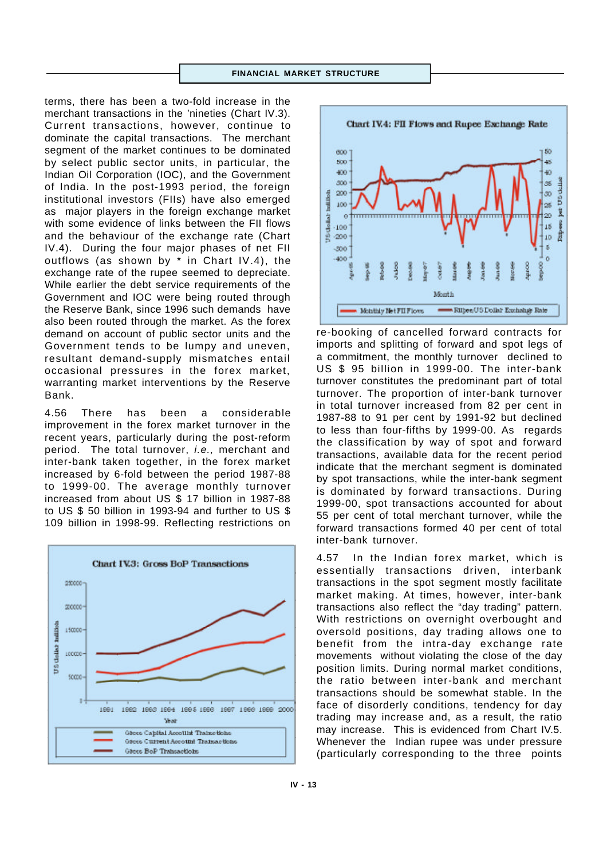terms, there has been a two-fold increase in the merchant transactions in the 'nineties (Chart IV.3). Current transactions, however, continue to dominate the capital transactions. The merchant segment of the market continues to be dominated by select public sector units, in particular, the Indian Oil Corporation (IOC), and the Government of India. In the post-1993 period, the foreign institutional investors (FIIs) have also emerged as major players in the foreign exchange market with some evidence of links between the FII flows and the behaviour of the exchange rate (Chart IV.4). During the four major phases of net FII outflows (as shown by \* in Chart IV.4), the exchange rate of the rupee seemed to depreciate. While earlier the debt service requirements of the Government and IOC were being routed through the Reserve Bank, since 1996 such demands have also been routed through the market. As the forex demand on account of public sector units and the Government tends to be lumpy and uneven, resultant demand-supply mismatches entail occasional pressures in the forex market, warranting market interventions by the Reserve Bank.

4.56 There has been a considerable improvement in the forex market turnover in the recent years, particularly during the post-reform period. The total turnover, *i.e.,* merchant and inter-bank taken together, in the forex market increased by 6-fold between the period 1987-88 to 1999-00. The average monthly turnover increased from about US \$ 17 billion in 1987-88 to US \$ 50 billion in 1993-94 and further to US \$ 109 billion in 1998-99. Reflecting restrictions on





re-booking of cancelled forward contracts for imports and splitting of forward and spot legs of a commitment, the monthly turnover declined to US \$ 95 billion in 1999-00. The inter-bank turnover constitutes the predominant part of total turnover. The proportion of inter-bank turnover in total turnover increased from 82 per cent in 1987-88 to 91 per cent by 1991-92 but declined to less than four-fifths by 1999-00. As regards the classification by way of spot and forward transactions, available data for the recent period indicate that the merchant segment is dominated by spot transactions, while the inter-bank segment is dominated by forward transactions. During 1999-00, spot transactions accounted for about 55 per cent of total merchant turnover, while the forward transactions formed 40 per cent of total inter-bank turnover.

4.57 In the Indian forex market, which is essentially transactions driven, interbank transactions in the spot segment mostly facilitate market making. At times, however, inter-bank transactions also reflect the "day trading" pattern. With restrictions on overnight overbought and oversold positions, day trading allows one to benefit from the intra-day exchange rate movements without violating the close of the day position limits. During normal market conditions, the ratio between inter-bank and merchant transactions should be somewhat stable. In the face of disorderly conditions, tendency for day trading may increase and, as a result, the ratio may increase. This is evidenced from Chart IV.5. Whenever the Indian rupee was under pressure (particularly corresponding to the three points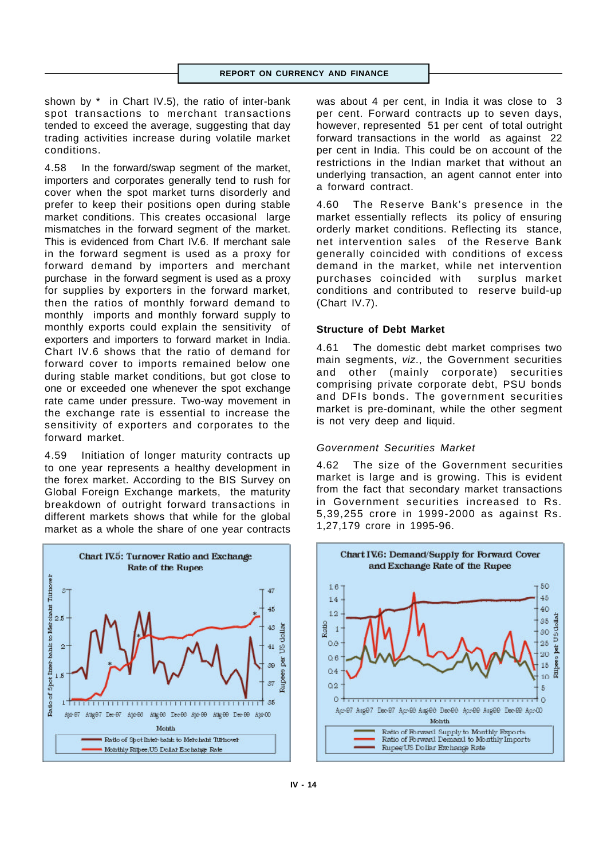shown by \* in Chart IV.5), the ratio of inter-bank spot transactions to merchant transactions tended to exceed the average, suggesting that day trading activities increase during volatile market conditions.

4.58 In the forward/swap segment of the market, importers and corporates generally tend to rush for cover when the spot market turns disorderly and prefer to keep their positions open during stable market conditions. This creates occasional large mismatches in the forward segment of the market. This is evidenced from Chart IV.6. If merchant sale in the forward segment is used as a proxy for forward demand by importers and merchant purchase in the forward segment is used as a proxy for supplies by exporters in the forward market, then the ratios of monthly forward demand to monthly imports and monthly forward supply to monthly exports could explain the sensitivity of exporters and importers to forward market in India. Chart IV.6 shows that the ratio of demand for forward cover to imports remained below one during stable market conditions, but got close to one or exceeded one whenever the spot exchange rate came under pressure. Two-way movement in the exchange rate is essential to increase the sensitivity of exporters and corporates to the forward market.

4.59 Initiation of longer maturity contracts up to one year represents a healthy development in the forex market. According to the BIS Survey on Global Foreign Exchange markets, the maturity breakdown of outright forward transactions in different markets shows that while for the global market as a whole the share of one year contracts



was about 4 per cent, in India it was close to 3 per cent. Forward contracts up to seven days, however, represented 51 per cent of total outright forward transactions in the world as against 22 per cent in India. This could be on account of the restrictions in the Indian market that without an underlying transaction, an agent cannot enter into a forward contract.

4.60 The Reserve Bank's presence in the market essentially reflects its policy of ensuring orderly market conditions. Reflecting its stance, net intervention sales of the Reserve Bank generally coincided with conditions of excess demand in the market, while net intervention purchases coincided with surplus market conditions and contributed to reserve build-up (Chart IV.7).

## **Structure of Debt Market**

4.61 The domestic debt market comprises two main segments, *viz*., the Government securities and other (mainly corporate) securities comprising private corporate debt, PSU bonds and DFIs bonds. The government securities market is pre-dominant, while the other segment is not very deep and liquid.

## *Government Securities Market*

4.62 The size of the Government securities market is large and is growing. This is evident from the fact that secondary market transactions in Government securities increased to Rs. 5,39,255 crore in 1999-2000 as against Rs. 1,27,179 crore in 1995-96.

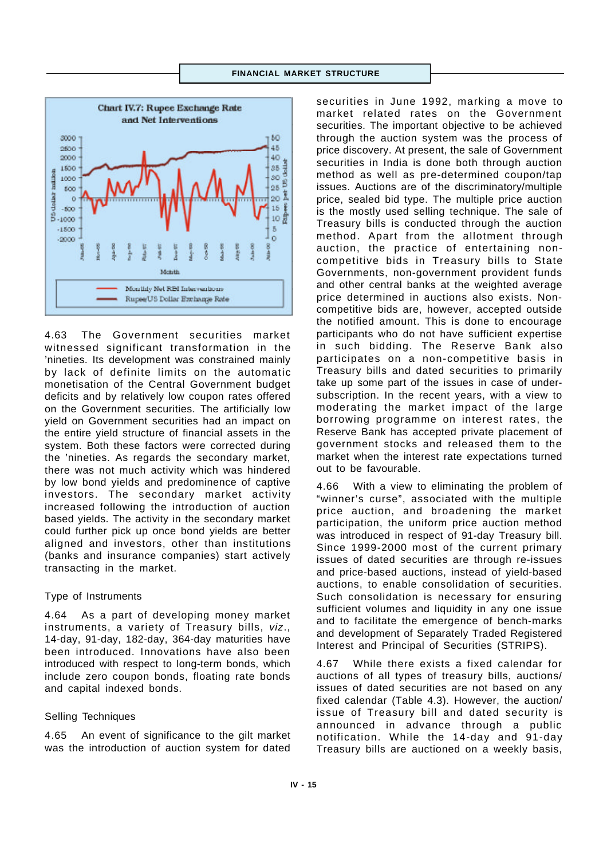

4.63 The Government securities market witnessed significant transformation in the 'nineties. Its development was constrained mainly by lack of definite limits on the automatic monetisation of the Central Government budget deficits and by relatively low coupon rates offered on the Government securities. The artificially low yield on Government securities had an impact on the entire yield structure of financial assets in the system. Both these factors were corrected during the 'nineties. As regards the secondary market, there was not much activity which was hindered by low bond yields and predominence of captive investors. The secondary market activity increased following the introduction of auction based yields. The activity in the secondary market could further pick up once bond yields are better aligned and investors, other than institutions (banks and insurance companies) start actively transacting in the market.

#### Type of Instruments

4.64 As a part of developing money market instruments, a variety of Treasury bills, *viz*., 14-day, 91-day, 182-day, 364-day maturities have been introduced. Innovations have also been introduced with respect to long-term bonds, which include zero coupon bonds, floating rate bonds and capital indexed bonds.

#### Selling Techniques

4.65 An event of significance to the gilt market was the introduction of auction system for dated

securities in June 1992, marking a move to market related rates on the Government securities. The important objective to be achieved through the auction system was the process of price discovery. At present, the sale of Government securities in India is done both through auction method as well as pre-determined coupon/tap issues. Auctions are of the discriminatory/multiple price, sealed bid type. The multiple price auction is the mostly used selling technique. The sale of Treasury bills is conducted through the auction method. Apart from the allotment through auction, the practice of entertaining noncompetitive bids in Treasury bills to State Governments, non-government provident funds and other central banks at the weighted average price determined in auctions also exists. Noncompetitive bids are, however, accepted outside the notified amount. This is done to encourage participants who do not have sufficient expertise in such bidding. The Reserve Bank also participates on a non-competitive basis in Treasury bills and dated securities to primarily take up some part of the issues in case of undersubscription. In the recent years, with a view to moderating the market impact of the large borrowing programme on interest rates, the Reserve Bank has accepted private placement of government stocks and released them to the market when the interest rate expectations turned out to be favourable.

4.66 With a view to eliminating the problem of "winner's curse", associated with the multiple price auction, and broadening the market participation, the uniform price auction method was introduced in respect of 91-day Treasury bill. Since 1999-2000 most of the current primary issues of dated securities are through re-issues and price-based auctions, instead of yield-based auctions, to enable consolidation of securities. Such consolidation is necessary for ensuring sufficient volumes and liquidity in any one issue and to facilitate the emergence of bench-marks and development of Separately Traded Registered Interest and Principal of Securities (STRIPS).

4.67 While there exists a fixed calendar for auctions of all types of treasury bills, auctions/ issues of dated securities are not based on any fixed calendar (Table 4.3). However, the auction/ issue of Treasury bill and dated security is announced in advance through a public notification. While the 14-day and 91-day Treasury bills are auctioned on a weekly basis,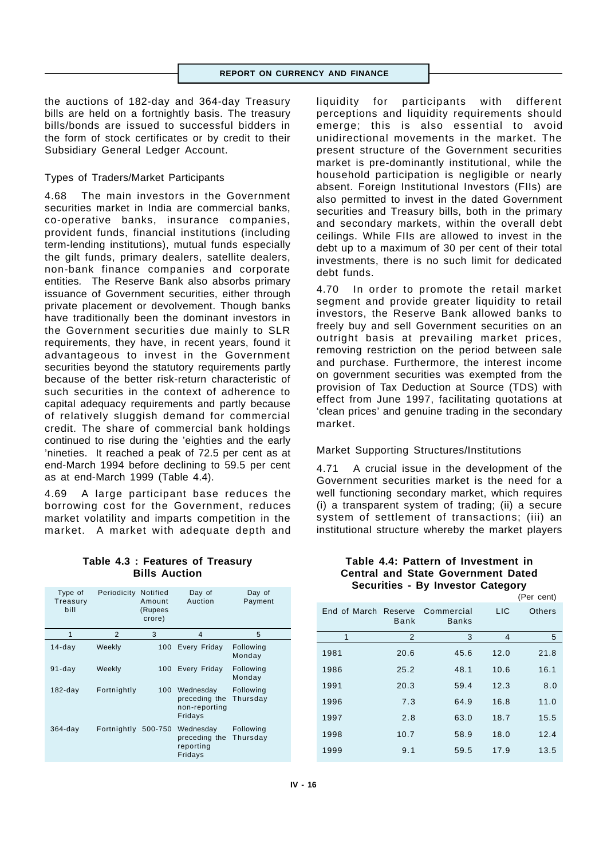the auctions of 182-day and 364-day Treasury bills are held on a fortnightly basis. The treasury bills/bonds are issued to successful bidders in the form of stock certificates or by credit to their Subsidiary General Ledger Account.

## Types of Traders/Market Participants

4.68 The main investors in the Government securities market in India are commercial banks, co-operative banks, insurance companies, provident funds, financial institutions (including term-lending institutions), mutual funds especially the gilt funds, primary dealers, satellite dealers, non-bank finance companies and corporate entities*.* The Reserve Bank also absorbs primary issuance of Government securities, either through private placement or devolvement. Though banks have traditionally been the dominant investors in the Government securities due mainly to SLR requirements, they have, in recent years, found it advantageous to invest in the Government securities beyond the statutory requirements partly because of the better risk-return characteristic of such securities in the context of adherence to capital adequacy requirements and partly because of relatively sluggish demand for commercial credit. The share of commercial bank holdings continued to rise during the 'eighties and the early 'nineties. It reached a peak of 72.5 per cent as at end-March 1994 before declining to 59.5 per cent as at end-March 1999 (Table 4.4).

4.69 A large participant base reduces the borrowing cost for the Government, reduces market volatility and imparts competition in the market. A market with adequate depth and

## **Table 4.3 : Features of Treasury Bills Auction**

| Type of<br>Treasury<br>bill | Periodicity Notified | Amount<br>(Rupees<br>crore) | Day of<br>Auction                                      | Day of<br>Payment     |
|-----------------------------|----------------------|-----------------------------|--------------------------------------------------------|-----------------------|
| 1                           | $\overline{2}$       | 3                           | $\overline{\mathbf{4}}$                                | 5                     |
| $14$ -day                   | Weekly               | 100                         | Every Friday                                           | Following<br>Monday   |
| $91$ -day                   | Weekly               | 100                         | Every Friday                                           | Following<br>Monday   |
| $182$ -day                  | Fortnightly          | 100                         | Wednesday<br>preceding the<br>non-reporting<br>Fridays | Following<br>Thursday |
| $364$ -day                  | Fortnightly          | 500-750                     | Wednesday<br>preceding the<br>reporting<br>Fridays     | Following<br>Thursday |

liquidity for participants with different perceptions and liquidity requirements should emerge; this is also essential to avoid unidirectional movements in the market. The present structure of the Government securities market is pre-dominantly institutional, while the household participation is negligible or nearly absent. Foreign Institutional Investors (FIIs) are also permitted to invest in the dated Government securities and Treasury bills, both in the primary and secondary markets, within the overall debt ceilings. While FIIs are allowed to invest in the debt up to a maximum of 30 per cent of their total investments, there is no such limit for dedicated debt funds.

4.70 In order to promote the retail market segment and provide greater liquidity to retail investors, the Reserve Bank allowed banks to freely buy and sell Government securities on an outright basis at prevailing market prices, removing restriction on the period between sale and purchase. Furthermore, the interest income on government securities was exempted from the provision of Tax Deduction at Source (TDS) with effect from June 1997, facilitating quotations at 'clean prices' and genuine trading in the secondary market.

## Market Supporting Structures/Institutions

4.71 A crucial issue in the development of the Government securities market is the need for a well functioning secondary market, which requires (i) a transparent system of trading; (ii) a secure system of settlement of transactions; (iii) an institutional structure whereby the market players

## **Table 4.4: Pattern of Investment in Central and State Government Dated Securities - By Investor Category**

|                      |      |                            |                | (Per cent) |
|----------------------|------|----------------------------|----------------|------------|
| End of March Reserve | Bank | Commercial<br><b>Banks</b> | <b>LIC</b>     | Others     |
| 1                    | 2    | 3                          | $\overline{4}$ | 5          |
| 1981                 | 20.6 | 45.6                       | 12.0           | 21.8       |
| 1986                 | 25.2 | 48.1                       | 10.6           | 16.1       |
| 1991                 | 20.3 | 59.4                       | 12.3           | 8.0        |
| 1996                 | 7.3  | 64.9                       | 16.8           | 11.0       |
| 1997                 | 2.8  | 63.0                       | 18.7           | 15.5       |
| 1998                 | 10.7 | 58.9                       | 18.0           | 12.4       |
| 1999                 | 9.1  | 59.5                       | 17.9           | 13.5       |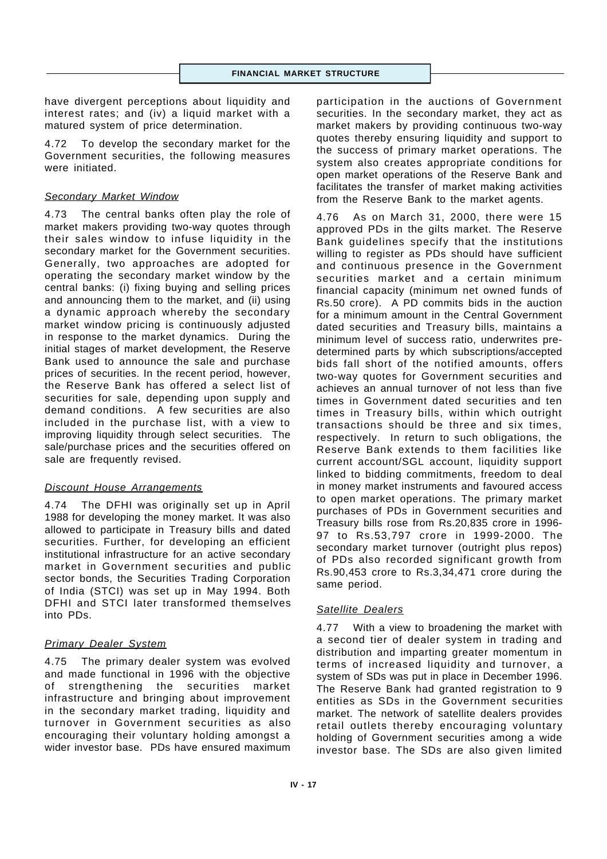have divergent perceptions about liquidity and interest rates; and (iv) a liquid market with a matured system of price determination.

4.72 To develop the secondary market for the Government securities, the following measures were initiated.

## *Secondary Market Window*

4.73 The central banks often play the role of market makers providing two-way quotes through their sales window to infuse liquidity in the secondary market for the Government securities. Generally, two approaches are adopted for operating the secondary market window by the central banks: (i) fixing buying and selling prices and announcing them to the market, and (ii) using a dynamic approach whereby the secondary market window pricing is continuously adjusted in response to the market dynamics. During the initial stages of market development, the Reserve Bank used to announce the sale and purchase prices of securities. In the recent period, however, the Reserve Bank has offered a select list of securities for sale, depending upon supply and demand conditions. A few securities are also included in the purchase list, with a view to improving liquidity through select securities. The sale/purchase prices and the securities offered on sale are frequently revised.

# *Discount House Arrangements*

4.74 The DFHI was originally set up in April 1988 for developing the money market. It was also allowed to participate in Treasury bills and dated securities. Further, for developing an efficient institutional infrastructure for an active secondary market in Government securities and public sector bonds, the Securities Trading Corporation of India (STCI) was set up in May 1994. Both DFHI and STCI later transformed themselves into PDs.

# *Primary Dealer System*

4.75 The primary dealer system was evolved and made functional in 1996 with the objective of strengthening the securities market infrastructure and bringing about improvement in the secondary market trading, liquidity and turnover in Government securities as also encouraging their voluntary holding amongst a wider investor base. PDs have ensured maximum

participation in the auctions of Government securities. In the secondary market, they act as market makers by providing continuous two-way quotes thereby ensuring liquidity and support to the success of primary market operations. The system also creates appropriate conditions for open market operations of the Reserve Bank and facilitates the transfer of market making activities from the Reserve Bank to the market agents.

4.76 As on March 31, 2000, there were 15 approved PDs in the gilts market. The Reserve Bank guidelines specify that the institutions willing to register as PDs should have sufficient and continuous presence in the Government securities market and a certain minimum financial capacity (minimum net owned funds of Rs.50 crore). A PD commits bids in the auction for a minimum amount in the Central Government dated securities and Treasury bills, maintains a minimum level of success ratio, underwrites predetermined parts by which subscriptions/accepted bids fall short of the notified amounts, offers two-way quotes for Government securities and achieves an annual turnover of not less than five times in Government dated securities and ten times in Treasury bills, within which outright transactions should be three and six times, respectively. In return to such obligations, the Reserve Bank extends to them facilities like current account/SGL account, liquidity support linked to bidding commitments, freedom to deal in money market instruments and favoured access to open market operations. The primary market purchases of PDs in Government securities and Treasury bills rose from Rs.20,835 crore in 1996- 97 to Rs.53,797 crore in 1999-2000. The secondary market turnover (outright plus repos) of PDs also recorded significant growth from Rs.90,453 crore to Rs.3,34,471 crore during the same period.

## *Satellite Dealers*

4.77 With a view to broadening the market with a second tier of dealer system in trading and distribution and imparting greater momentum in terms of increased liquidity and turnover, a system of SDs was put in place in December 1996. The Reserve Bank had granted registration to 9 entities as SDs in the Government securities market. The network of satellite dealers provides retail outlets thereby encouraging voluntary holding of Government securities among a wide investor base. The SDs are also given limited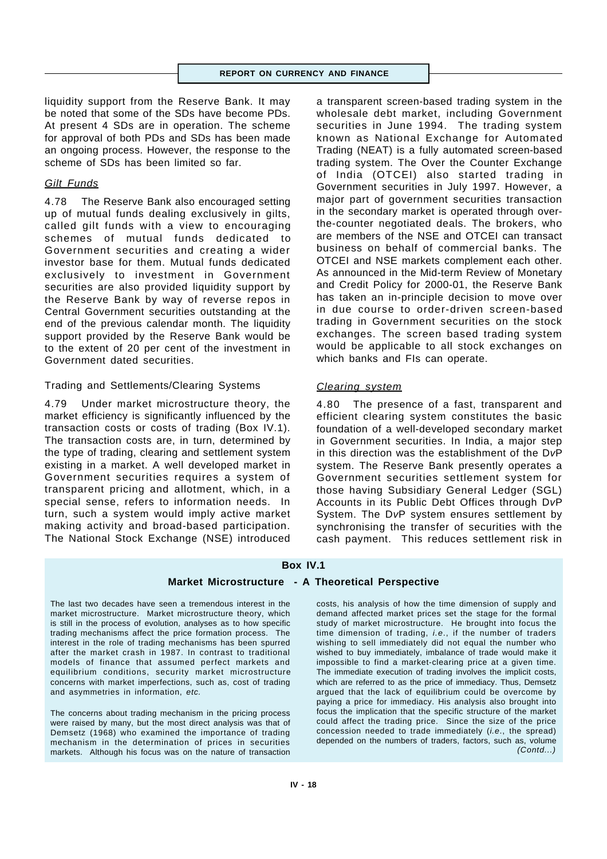liquidity support from the Reserve Bank. It may be noted that some of the SDs have become PDs. At present 4 SDs are in operation. The scheme for approval of both PDs and SDs has been made an ongoing process. However, the response to the scheme of SDs has been limited so far.

## *Gilt Funds*

4.78 The Reserve Bank also encouraged setting up of mutual funds dealing exclusively in gilts, called gilt funds with a view to encouraging schemes of mutual funds dedicated to Government securities and creating a wider investor base for them. Mutual funds dedicated exclusively to investment in Government securities are also provided liquidity support by the Reserve Bank by way of reverse repos in Central Government securities outstanding at the end of the previous calendar month. The liquidity support provided by the Reserve Bank would be to the extent of 20 per cent of the investment in Government dated securities.

#### Trading and Settlements/Clearing Systems

4.79 Under market microstructure theory, the market efficiency is significantly influenced by the transaction costs or costs of trading (Box IV.1). The transaction costs are, in turn, determined by the type of trading, clearing and settlement system existing in a market. A well developed market in Government securities requires a system of transparent pricing and allotment, which, in a special sense, refers to information needs. In turn, such a system would imply active market making activity and broad-based participation. The National Stock Exchange (NSE) introduced a transparent screen-based trading system in the wholesale debt market, including Government securities in June 1994. The trading system known as National Exchange for Automated Trading (NEAT) is a fully automated screen-based trading system. The Over the Counter Exchange of India (OTCEI) also started trading in Government securities in July 1997. However, a major part of government securities transaction in the secondary market is operated through overthe-counter negotiated deals. The brokers, who are members of the NSE and OTCEI can transact business on behalf of commercial banks. The OTCEI and NSE markets complement each other. As announced in the Mid-term Review of Monetary and Credit Policy for 2000-01, the Reserve Bank has taken an in-principle decision to move over in due course to order-driven screen-based trading in Government securities on the stock exchanges. The screen based trading system would be applicable to all stock exchanges on which banks and FIs can operate.

#### *Clearing system*

4.80 The presence of a fast, transparent and efficient clearing system constitutes the basic foundation of a well-developed secondary market in Government securities. In India, a major step in this direction was the establishment of the D*v*P system. The Reserve Bank presently operates a Government securities settlement system for those having Subsidiary General Ledger (SGL) Accounts in its Public Debt Offices through D*v*P System. The D*v*P system ensures settlement by synchronising the transfer of securities with the cash payment. This reduces settlement risk in

## **Box IV.1**

# **Market Microstructure - A Theoretical Perspective**

The last two decades have seen a tremendous interest in the market microstructure. Market microstructure theory, which is still in the process of evolution, analyses as to how specific trading mechanisms affect the price formation process. The interest in the role of trading mechanisms has been spurred after the market crash in 1987. In contrast to traditional models of finance that assumed perfect markets and equilibrium conditions, security market microstructure concerns with market imperfections, such as, cost of trading and asymmetries in information, *etc.*

The concerns about trading mechanism in the pricing process were raised by many, but the most direct analysis was that of Demsetz (1968) who examined the importance of trading mechanism in the determination of prices in securities markets. Although his focus was on the nature of transaction

costs, his analysis of how the time dimension of supply and demand affected market prices set the stage for the formal study of market microstructure. He brought into focus the time dimension of trading, *i.e*., if the number of traders wishing to sell immediately did not equal the number who wished to buy immediately, imbalance of trade would make it impossible to find a market-clearing price at a given time. The immediate execution of trading involves the implicit costs, which are referred to as the price of immediacy. Thus, Demsetz argued that the lack of equilibrium could be overcome by paying a price for immediacy. His analysis also brought into focus the implication that the specific structure of the market could affect the trading price. Since the size of the price concession needed to trade immediately (*i.e*., the spread) depended on the numbers of traders, factors, such as, volume *(Contd...)*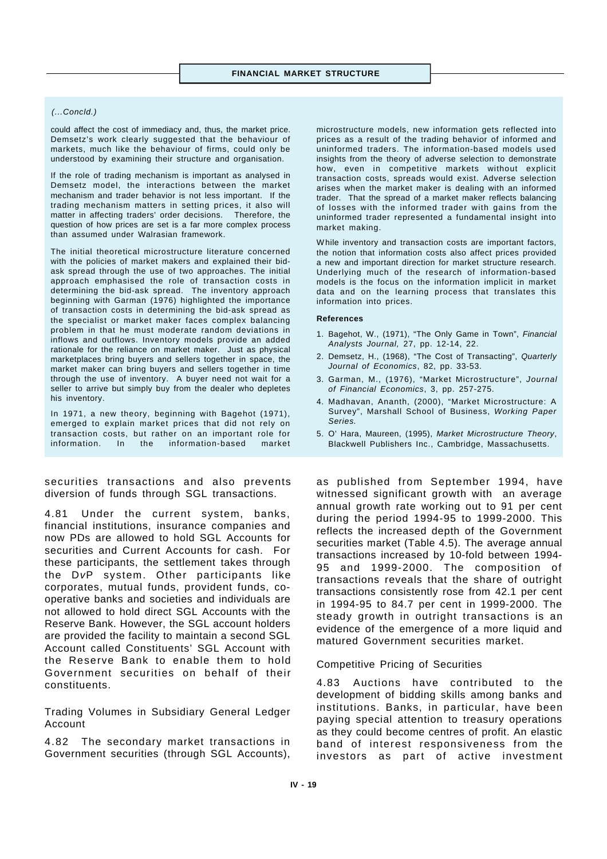#### *(...Concld.)*

could affect the cost of immediacy and, thus, the market price. Demsetz's work clearly suggested that the behaviour of markets, much like the behaviour of firms, could only be understood by examining their structure and organisation.

If the role of trading mechanism is important as analysed in Demsetz model, the interactions between the market mechanism and trader behavior is not less important. If the trading mechanism matters in setting prices, it also will matter in affecting traders' order decisions. Therefore, the question of how prices are set is a far more complex process than assumed under Walrasian framework.

The initial theoretical microstructure literature concerned with the policies of market makers and explained their bidask spread through the use of two approaches. The initial approach emphasised the role of transaction costs in determining the bid-ask spread. The inventory approach beginning with Garman (1976) highlighted the importance of transaction costs in determining the bid-ask spread as the specialist or market maker faces complex balancing problem in that he must moderate random deviations in inflows and outflows. Inventory models provide an added rationale for the reliance on market maker. Just as physical marketplaces bring buyers and sellers together in space, the market maker can bring buyers and sellers together in time through the use of inventory. A buyer need not wait for a seller to arrive but simply buy from the dealer who depletes his inventory.

In 1971, a new theory, beginning with Bagehot (1971), emerged to explain market prices that did not rely on transaction costs, but rather on an important role for information. In the information-based market

securities transactions and also prevents diversion of funds through SGL transactions.

4.81 Under the current system, banks, financial institutions, insurance companies and now PDs are allowed to hold SGL Accounts for securities and Current Accounts for cash. For these participants, the settlement takes through the D*v*P system. Other participants like corporates, mutual funds, provident funds, cooperative banks and societies and individuals are not allowed to hold direct SGL Accounts with the Reserve Bank. However, the SGL account holders are provided the facility to maintain a second SGL Account called Constituents' SGL Account with the Reserve Bank to enable them to hold Government securities on behalf of their constituents.

Trading Volumes in Subsidiary General Ledger Account

4.82 The secondary market transactions in Government securities (through SGL Accounts),

microstructure models, new information gets reflected into prices as a result of the trading behavior of informed and uninformed traders. The information-based models used insights from the theory of adverse selection to demonstrate how, even in competitive markets without explicit transaction costs, spreads would exist. Adverse selection arises when the market maker is dealing with an informed trader. That the spread of a market maker reflects balancing of losses with the informed trader with gains from the uninformed trader represented a fundamental insight into market making.

While inventory and transaction costs are important factors, the notion that information costs also affect prices provided a new and important direction for market structure research. Underlying much of the research of information-based models is the focus on the information implicit in market data and on the learning process that translates this information into prices.

#### **References**

- 1. Bagehot, W., (1971), "The Only Game in Town", *Financial Analysts Journal,* 27, pp. 12-14, 22.
- 2. Demsetz, H., (1968), "The Cost of Transacting", *Quarterly Journal of Economics*, 82, pp. 33-53.
- 3. Garman, M., (1976), "Market Microstructure", *Journal of Financial Economics*, 3, pp. 257-275.
- 4. Madhavan, Ananth, (2000), "Market Microstructure: A Survey", Marshall School of Business, *Working Paper Series.*
- 5. O' Hara, Maureen, (1995), *Market Microstructure Theory*, Blackwell Publishers Inc., Cambridge, Massachusetts.

as published from September 1994, have witnessed significant growth with an average annual growth rate working out to 91 per cent during the period 1994-95 to 1999-2000. This reflects the increased depth of the Government securities market (Table 4.5). The average annual transactions increased by 10-fold between 1994- 95 and 1999-2000. The composition of transactions reveals that the share of outright transactions consistently rose from 42.1 per cent in 1994-95 to 84.7 per cent in 1999-2000. The steady growth in outright transactions is an evidence of the emergence of a more liquid and matured Government securities market.

#### Competitive Pricing of Securities

4.83 Auctions have contributed to the development of bidding skills among banks and institutions. Banks, in particular, have been paying special attention to treasury operations as they could become centres of profit. An elastic band of interest responsiveness from the investors as part of active investment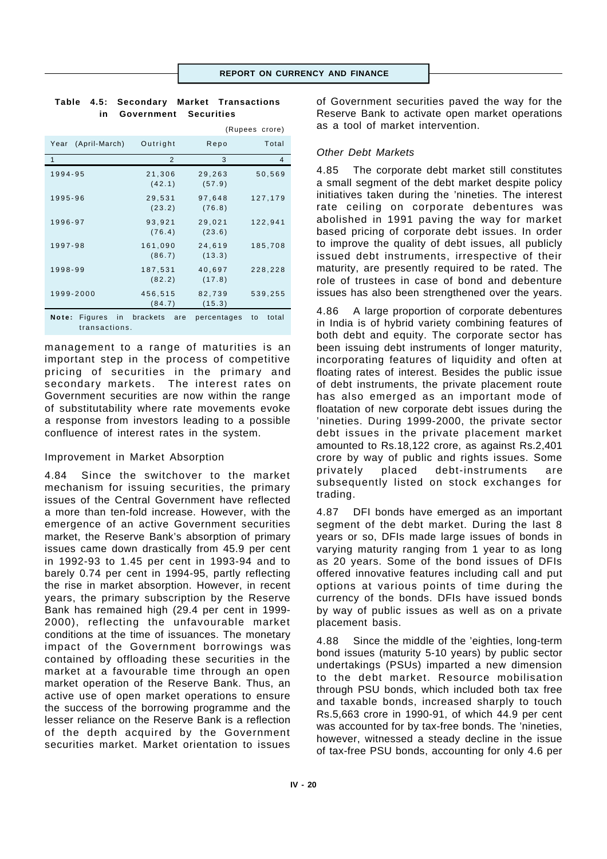(Rupees crore)

|  |                          | Table 4.5: Secondary Market Transactions |
|--|--------------------------|------------------------------------------|
|  | in Government Securities |                                          |

|                                               |                   |                  | $(nu)$ $(0, 0)$ |
|-----------------------------------------------|-------------------|------------------|-----------------|
| (April-March)<br>Year                         | Outright          | Repo             | Total           |
| 1                                             | $\overline{2}$    | 3                | 4               |
| 1994-95                                       | 21,306<br>(42.1)  | 29,263<br>(57.9) | 50,569          |
| 1995-96                                       | 29,531<br>(23.2)  | 97,648<br>(76.8) | 127,179         |
| 1996-97                                       | 93,921<br>(76.4)  | 29,021<br>(23.6) | 122,941         |
| 1997-98                                       | 161,090<br>(86.7) | 24,619<br>(13.3) | 185,708         |
| 1998-99                                       | 187,531<br>(82.2) | 40,697<br>(17.8) | 228,228         |
| 1999-2000                                     | 456,515<br>(84.7) | 82,739<br>(15.3) | 539,255         |
| <b>Figures</b><br>Note:<br>in<br>transactions | brackets<br>are   | percentages      | total<br>to     |

management to a range of maturities is an important step in the process of competitive pricing of securities in the primary and secondary markets. The interest rates on Government securities are now within the range of substitutability where rate movements evoke a response from investors leading to a possible confluence of interest rates in the system.

## Improvement in Market Absorption

4.84 Since the switchover to the market mechanism for issuing securities, the primary issues of the Central Government have reflected a more than ten-fold increase. However, with the emergence of an active Government securities market, the Reserve Bank's absorption of primary issues came down drastically from 45.9 per cent in 1992-93 to 1.45 per cent in 1993-94 and to barely 0.74 per cent in 1994-95, partly reflecting the rise in market absorption. However, in recent years, the primary subscription by the Reserve Bank has remained high (29.4 per cent in 1999- 2000), reflecting the unfavourable market conditions at the time of issuances. The monetary impact of the Government borrowings was contained by offloading these securities in the market at a favourable time through an open market operation of the Reserve Bank. Thus, an active use of open market operations to ensure the success of the borrowing programme and the lesser reliance on the Reserve Bank is a reflection of the depth acquired by the Government securities market. Market orientation to issues

of Government securities paved the way for the Reserve Bank to activate open market operations as a tool of market intervention.

## *Other Debt Markets*

4.85 The corporate debt market still constitutes a small segment of the debt market despite policy initiatives taken during the 'nineties. The interest rate ceiling on corporate debentures was abolished in 1991 paving the way for market based pricing of corporate debt issues. In order to improve the quality of debt issues, all publicly issued debt instruments, irrespective of their maturity, are presently required to be rated. The role of trustees in case of bond and debenture issues has also been strengthened over the years.

4.86 A large proportion of corporate debentures in India is of hybrid variety combining features of both debt and equity. The corporate sector has been issuing debt instruments of longer maturity, incorporating features of liquidity and often at floating rates of interest. Besides the public issue of debt instruments, the private placement route has also emerged as an important mode of floatation of new corporate debt issues during the 'nineties. During 1999-2000, the private sector debt issues in the private placement market amounted to Rs.18,122 crore, as against Rs.2,401 crore by way of public and rights issues. Some privately placed debt-instruments are subsequently listed on stock exchanges for trading.

4.87 DFI bonds have emerged as an important segment of the debt market. During the last 8 years or so, DFIs made large issues of bonds in varying maturity ranging from 1 year to as long as 20 years. Some of the bond issues of DFIs offered innovative features including call and put options at various points of time during the currency of the bonds. DFIs have issued bonds by way of public issues as well as on a private placement basis.

4.88 Since the middle of the 'eighties, long-term bond issues (maturity 5-10 years) by public sector undertakings (PSUs) imparted a new dimension to the debt market. Resource mobilisation through PSU bonds, which included both tax free and taxable bonds, increased sharply to touch Rs.5,663 crore in 1990-91, of which 44.9 per cent was accounted for by tax-free bonds. The 'nineties, however, witnessed a steady decline in the issue of tax-free PSU bonds, accounting for only 4.6 per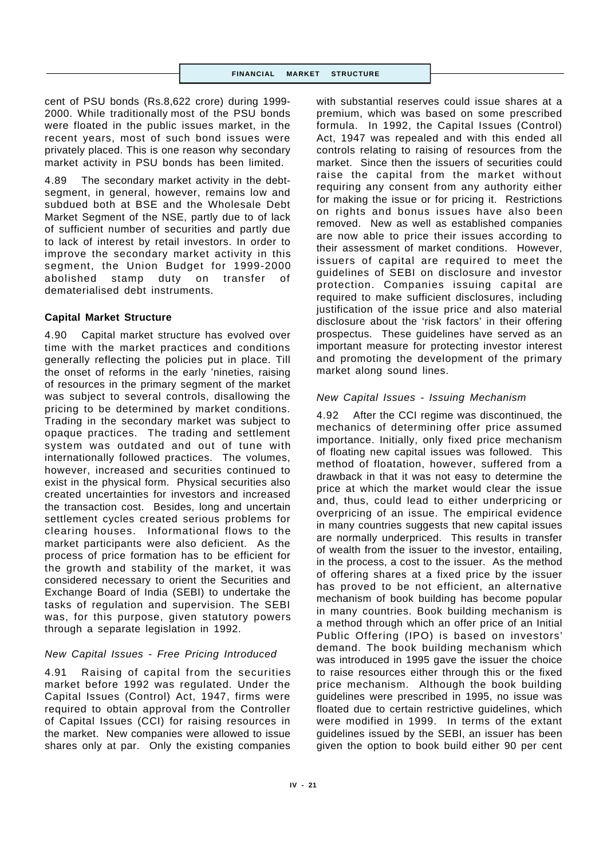#### **FINANCIAL MARKET STRUCTURE**

cent of PSU bonds (Rs.8,622 crore) during 1999- 2000. While traditionally most of the PSU bonds were floated in the public issues market, in the recent years, most of such bond issues were privately placed. This is one reason why secondary market activity in PSU bonds has been limited.

4.89 The secondary market activity in the debtsegment, in general, however, remains low and subdued both at BSE and the Wholesale Debt Market Segment of the NSE, partly due to of lack of sufficient number of securities and partly due to lack of interest by retail investors. In order to improve the secondary market activity in this segment, the Union Budget for 1999-2000 abolished stamp duty on transfer of dematerialised debt instruments.

## **Capital Market Structure**

4.90 Capital market structure has evolved over time with the market practices and conditions generally reflecting the policies put in place. Till the onset of reforms in the early 'nineties, raising of resources in the primary segment of the market was subject to several controls, disallowing the pricing to be determined by market conditions. Trading in the secondary market was subject to opaque practices. The trading and settlement system was outdated and out of tune with internationally followed practices. The volumes, however, increased and securities continued to exist in the physical form. Physical securities also created uncertainties for investors and increased the transaction cost. Besides, long and uncertain settlement cycles created serious problems for clearing houses. Informational flows to the market participants were also deficient. As the process of price formation has to be efficient for the growth and stability of the market, it was considered necessary to orient the Securities and Exchange Board of India (SEBI) to undertake the tasks of regulation and supervision. The SEBI was, for this purpose, given statutory powers through a separate legislation in 1992.

# *New Capital Issues - Free Pricing Introduced*

4.91 Raising of capital from the securities market before 1992 was regulated. Under the Capital Issues (Control) Act, 1947, firms were required to obtain approval from the Controller of Capital Issues (CCI) for raising resources in the market. New companies were allowed to issue shares only at par. Only the existing companies

with substantial reserves could issue shares at a premium, which was based on some prescribed formula. In 1992, the Capital Issues (Control) Act, 1947 was repealed and with this ended all controls relating to raising of resources from the market. Since then the issuers of securities could raise the capital from the market without requiring any consent from any authority either for making the issue or for pricing it. Restrictions on rights and bonus issues have also been removed. New as well as established companies are now able to price their issues according to their assessment of market conditions. However, issuers of capital are required to meet the guidelines of SEBI on disclosure and investor protection. Companies issuing capital are required to make sufficient disclosures, including justification of the issue price and also material disclosure about the 'risk factors' in their offering prospectus. These guidelines have served as an important measure for protecting investor interest and promoting the development of the primary market along sound lines.

# *New Capital Issues - Issuing Mechanism*

4.92 After the CCI regime was discontinued, the mechanics of determining offer price assumed importance. Initially, only fixed price mechanism of floating new capital issues was followed. This method of floatation, however, suffered from a drawback in that it was not easy to determine the price at which the market would clear the issue and, thus, could lead to either underpricing or overpricing of an issue. The empirical evidence in many countries suggests that new capital issues are normally underpriced. This results in transfer of wealth from the issuer to the investor, entailing, in the process, a cost to the issuer. As the method of offering shares at a fixed price by the issuer has proved to be not efficient, an alternative mechanism of book building has become popular in many countries. Book building mechanism is a method through which an offer price of an Initial Public Offering (IPO) is based on investors' demand. The book building mechanism which was introduced in 1995 gave the issuer the choice to raise resources either through this or the fixed price mechanism. Although the book building guidelines were prescribed in 1995, no issue was floated due to certain restrictive guidelines, which were modified in 1999. In terms of the extant guidelines issued by the SEBI, an issuer has been given the option to book build either 90 per cent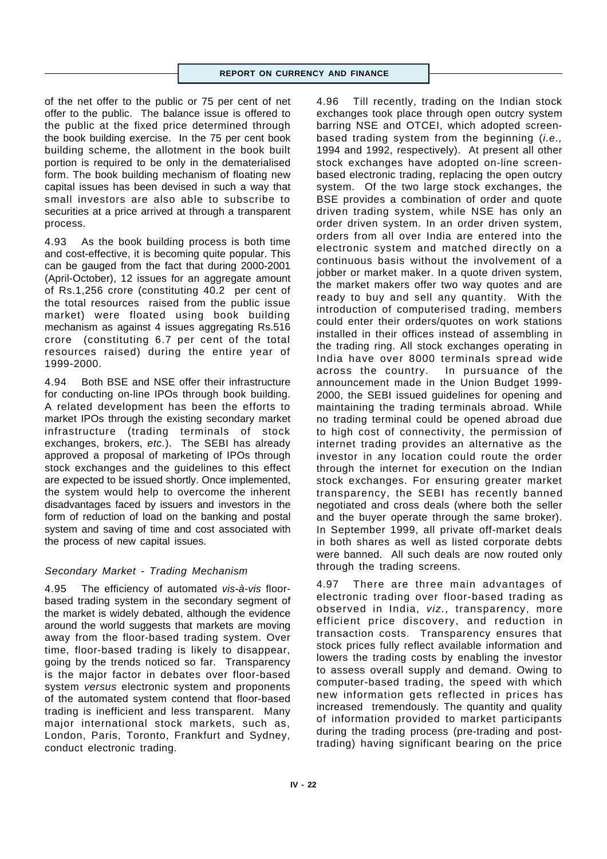of the net offer to the public or 75 per cent of net offer to the public. The balance issue is offered to the public at the fixed price determined through the book building exercise. In the 75 per cent book building scheme, the allotment in the book built portion is required to be only in the dematerialised form. The book building mechanism of floating new capital issues has been devised in such a way that small investors are also able to subscribe to securities at a price arrived at through a transparent process.

4.93 As the book building process is both time and cost-effective, it is becoming quite popular. This can be gauged from the fact that during 2000-2001 (April-October), 12 issues for an aggregate amount of Rs.1,256 crore (constituting 40.2 per cent of the total resources raised from the public issue market) were floated using book building mechanism as against 4 issues aggregating Rs.516 crore (constituting 6.7 per cent of the total resources raised) during the entire year of 1999-2000.

4.94 Both BSE and NSE offer their infrastructure for conducting on-line IPOs through book building. A related development has been the efforts to market IPOs through the existing secondary market infrastructure (trading terminals of stock exchanges, brokers, *etc.*). The SEBI has already approved a proposal of marketing of IPOs through stock exchanges and the guidelines to this effect are expected to be issued shortly. Once implemented, the system would help to overcome the inherent disadvantages faced by issuers and investors in the form of reduction of load on the banking and postal system and saving of time and cost associated with the process of new capital issues.

# *Secondary Market - Trading Mechanism*

4.95 The efficiency of automated *vis-à-vis* floorbased trading system in the secondary segment of the market is widely debated, although the evidence around the world suggests that markets are moving away from the floor-based trading system. Over time, floor-based trading is likely to disappear, going by the trends noticed so far. Transparency is the major factor in debates over floor-based system *versus* electronic system and proponents of the automated system contend that floor-based trading is inefficient and less transparent. Many major international stock markets, such as, London, Paris, Toronto, Frankfurt and Sydney, conduct electronic trading.

4.96 Till recently, trading on the Indian stock exchanges took place through open outcry system barring NSE and OTCEI, which adopted screenbased trading system from the beginning (*i.e.,* 1994 and 1992, respectively). At present all other stock exchanges have adopted on-line screenbased electronic trading, replacing the open outcry system. Of the two large stock exchanges, the BSE provides a combination of order and quote driven trading system, while NSE has only an order driven system. In an order driven system, orders from all over India are entered into the electronic system and matched directly on a continuous basis without the involvement of a jobber or market maker. In a quote driven system, the market makers offer two way quotes and are ready to buy and sell any quantity. With the introduction of computerised trading, members could enter their orders/quotes on work stations installed in their offices instead of assembling in the trading ring. All stock exchanges operating in India have over 8000 terminals spread wide across the country. In pursuance of the announcement made in the Union Budget 1999- 2000, the SEBI issued guidelines for opening and maintaining the trading terminals abroad. While no trading terminal could be opened abroad due to high cost of connectivity, the permission of internet trading provides an alternative as the investor in any location could route the order through the internet for execution on the Indian stock exchanges. For ensuring greater market transparency, the SEBI has recently banned negotiated and cross deals (where both the seller and the buyer operate through the same broker). In September 1999, all private off-market deals in both shares as well as listed corporate debts were banned. All such deals are now routed only through the trading screens.

4.97 There are three main advantages of electronic trading over floor-based trading as observed in India, *viz.,* transparency, more efficient price discovery, and reduction in transaction costs. Transparency ensures that stock prices fully reflect available information and lowers the trading costs by enabling the investor to assess overall supply and demand. Owing to computer-based trading, the speed with which new information gets reflected in prices has increased tremendously. The quantity and quality of information provided to market participants during the trading process (pre-trading and posttrading) having significant bearing on the price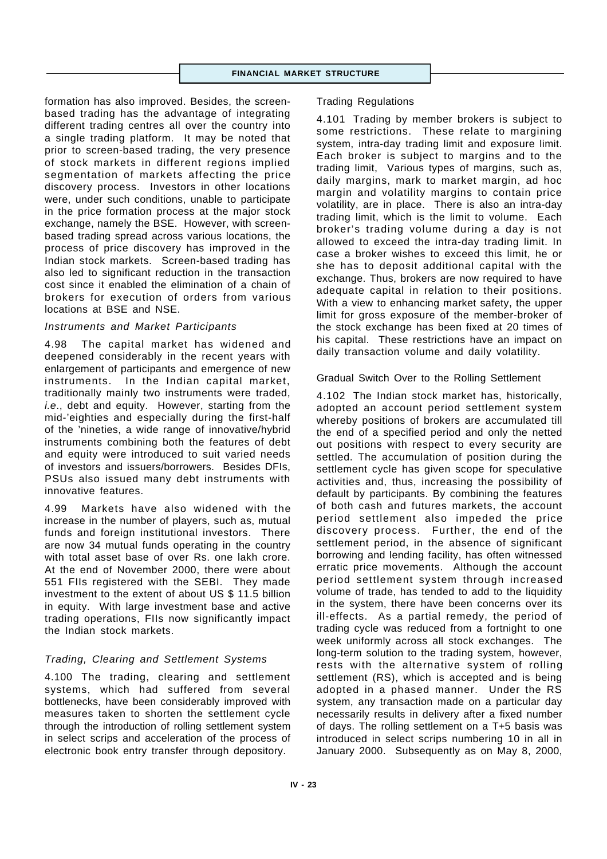formation has also improved. Besides, the screenbased trading has the advantage of integrating different trading centres all over the country into a single trading platform. It may be noted that prior to screen-based trading, the very presence of stock markets in different regions implied segmentation of markets affecting the price discovery process. Investors in other locations were, under such conditions, unable to participate in the price formation process at the major stock exchange, namely the BSE. However, with screenbased trading spread across various locations, the process of price discovery has improved in the Indian stock markets. Screen-based trading has also led to significant reduction in the transaction cost since it enabled the elimination of a chain of brokers for execution of orders from various locations at BSE and NSE.

## *Instruments and Market Participants*

4.98 The capital market has widened and deepened considerably in the recent years with enlargement of participants and emergence of new instruments. In the Indian capital market, traditionally mainly two instruments were traded, *i.e*., debt and equity. However, starting from the mid-'eighties and especially during the first-half of the 'nineties, a wide range of innovative/hybrid instruments combining both the features of debt and equity were introduced to suit varied needs of investors and issuers/borrowers. Besides DFIs, PSUs also issued many debt instruments with innovative features.

4.99 Markets have also widened with the increase in the number of players, such as, mutual funds and foreign institutional investors. There are now 34 mutual funds operating in the country with total asset base of over Rs. one lakh crore. At the end of November 2000, there were about 551 FIIs registered with the SEBI. They made investment to the extent of about US \$ 11.5 billion in equity. With large investment base and active trading operations, FIIs now significantly impact the Indian stock markets.

# *Trading, Clearing and Settlement Systems*

4.100 The trading, clearing and settlement systems, which had suffered from several bottlenecks, have been considerably improved with measures taken to shorten the settlement cycle through the introduction of rolling settlement system in select scrips and acceleration of the process of electronic book entry transfer through depository.

#### Trading Regulations

4.101 Trading by member brokers is subject to some restrictions. These relate to margining system, intra-day trading limit and exposure limit. Each broker is subject to margins and to the trading limit, Various types of margins, such as, daily margins, mark to market margin, ad hoc margin and volatility margins to contain price volatility, are in place. There is also an intra-day trading limit, which is the limit to volume. Each broker's trading volume during a day is not allowed to exceed the intra-day trading limit. In case a broker wishes to exceed this limit, he or she has to deposit additional capital with the exchange. Thus, brokers are now required to have adequate capital in relation to their positions. With a view to enhancing market safety, the upper limit for gross exposure of the member-broker of the stock exchange has been fixed at 20 times of his capital. These restrictions have an impact on daily transaction volume and daily volatility.

## Gradual Switch Over to the Rolling Settlement

4.102 The Indian stock market has, historically, adopted an account period settlement system whereby positions of brokers are accumulated till the end of a specified period and only the netted out positions with respect to every security are settled. The accumulation of position during the settlement cycle has given scope for speculative activities and, thus, increasing the possibility of default by participants. By combining the features of both cash and futures markets, the account period settlement also impeded the price discovery process. Further, the end of the settlement period, in the absence of significant borrowing and lending facility, has often witnessed erratic price movements. Although the account period settlement system through increased volume of trade, has tended to add to the liquidity in the system, there have been concerns over its ill-effects. As a partial remedy, the period of trading cycle was reduced from a fortnight to one week uniformly across all stock exchanges. The long-term solution to the trading system, however, rests with the alternative system of rolling settlement (RS), which is accepted and is being adopted in a phased manner. Under the RS system, any transaction made on a particular day necessarily results in delivery after a fixed number of days. The rolling settlement on a T+5 basis was introduced in select scrips numbering 10 in all in January 2000. Subsequently as on May 8, 2000,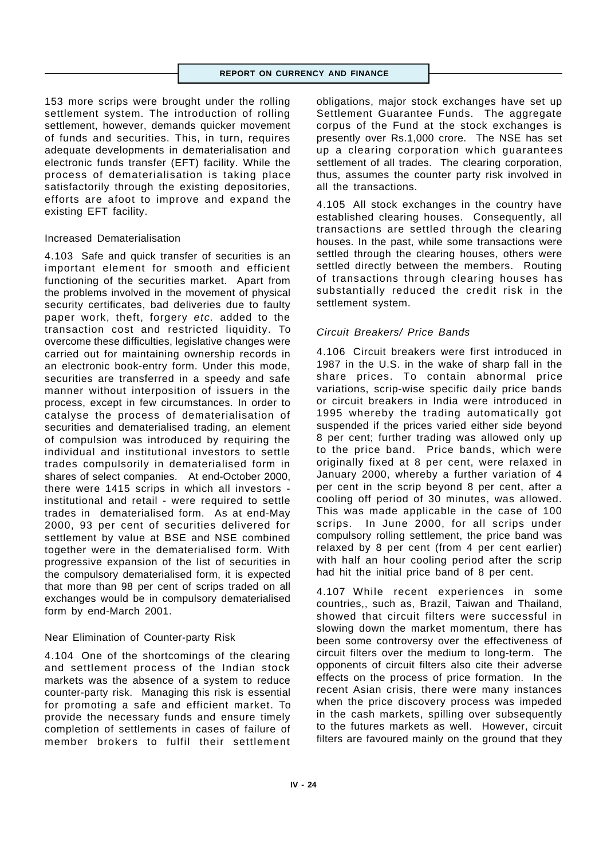153 more scrips were brought under the rolling settlement system. The introduction of rolling settlement, however, demands quicker movement of funds and securities. This, in turn, requires adequate developments in dematerialisation and electronic funds transfer (EFT) facility. While the process of dematerialisation is taking place satisfactorily through the existing depositories, efforts are afoot to improve and expand the existing EFT facility.

## Increased Dematerialisation

4.103 Safe and quick transfer of securities is an important element for smooth and efficient functioning of the securities market. Apart from the problems involved in the movement of physical security certificates, bad deliveries due to faulty paper work, theft, forgery *etc.* added to the transaction cost and restricted liquidity. To overcome these difficulties, legislative changes were carried out for maintaining ownership records in an electronic book-entry form. Under this mode, securities are transferred in a speedy and safe manner without interposition of issuers in the process, except in few circumstances. In order to catalyse the process of dematerialisation of securities and dematerialised trading, an element of compulsion was introduced by requiring the individual and institutional investors to settle trades compulsorily in dematerialised form in shares of select companies. At end-October 2000, there were 1415 scrips in which all investors institutional and retail - were required to settle trades in dematerialised form. As at end-May 2000, 93 per cent of securities delivered for settlement by value at BSE and NSE combined together were in the dematerialised form. With progressive expansion of the list of securities in the compulsory dematerialised form, it is expected that more than 98 per cent of scrips traded on all exchanges would be in compulsory dematerialised form by end-March 2001.

# Near Elimination of Counter-party Risk

4.104 One of the shortcomings of the clearing and settlement process of the Indian stock markets was the absence of a system to reduce counter-party risk. Managing this risk is essential for promoting a safe and efficient market. To provide the necessary funds and ensure timely completion of settlements in cases of failure of member brokers to fulfil their settlement

obligations, major stock exchanges have set up Settlement Guarantee Funds. The aggregate corpus of the Fund at the stock exchanges is presently over Rs.1,000 crore. The NSE has set up a clearing corporation which guarantees settlement of all trades. The clearing corporation, thus, assumes the counter party risk involved in all the transactions.

4.105 All stock exchanges in the country have established clearing houses. Consequently, all transactions are settled through the clearing houses. In the past, while some transactions were settled through the clearing houses, others were settled directly between the members. Routing of transactions through clearing houses has substantially reduced the credit risk in the settlement system.

# *Circuit Breakers/ Price Bands*

4.106 Circuit breakers were first introduced in 1987 in the U.S. in the wake of sharp fall in the share prices. To contain abnormal price variations, scrip-wise specific daily price bands or circuit breakers in India were introduced in 1995 whereby the trading automatically got suspended if the prices varied either side beyond 8 per cent; further trading was allowed only up to the price band. Price bands, which were originally fixed at 8 per cent, were relaxed in January 2000, whereby a further variation of 4 per cent in the scrip beyond 8 per cent, after a cooling off period of 30 minutes, was allowed. This was made applicable in the case of 100 scrips. In June 2000, for all scrips under compulsory rolling settlement, the price band was relaxed by 8 per cent (from 4 per cent earlier) with half an hour cooling period after the scrip had hit the initial price band of 8 per cent.

4.107 While recent experiences in some countries,, such as, Brazil, Taiwan and Thailand, showed that circuit filters were successful in slowing down the market momentum, there has been some controversy over the effectiveness of circuit filters over the medium to long-term. The opponents of circuit filters also cite their adverse effects on the process of price formation. In the recent Asian crisis, there were many instances when the price discovery process was impeded in the cash markets, spilling over subsequently to the futures markets as well. However, circuit filters are favoured mainly on the ground that they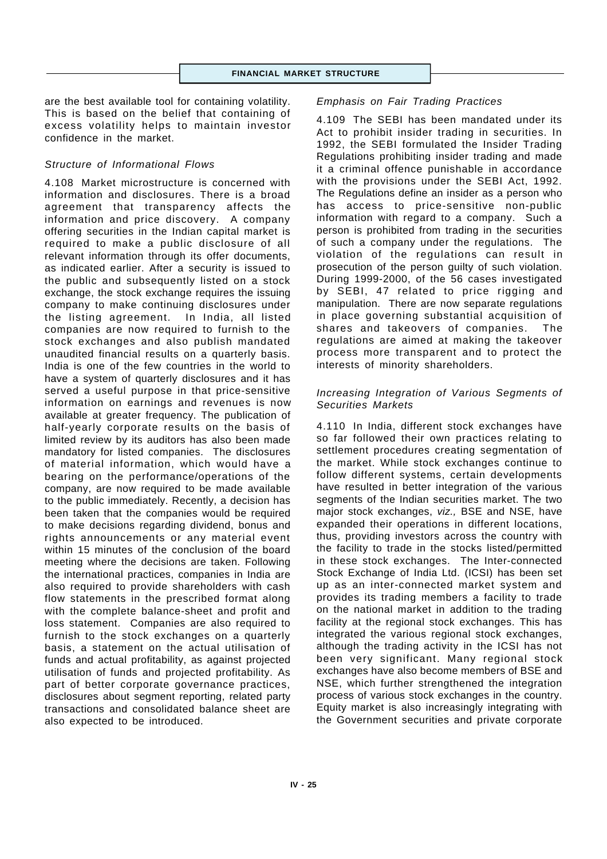are the best available tool for containing volatility. This is based on the belief that containing of excess volatility helps to maintain investor confidence in the market.

## *Structure of Informational Flows*

4.108 Market microstructure is concerned with information and disclosures. There is a broad agreement that transparency affects the information and price discovery. A company offering securities in the Indian capital market is required to make a public disclosure of all relevant information through its offer documents, as indicated earlier. After a security is issued to the public and subsequently listed on a stock exchange, the stock exchange requires the issuing company to make continuing disclosures under the listing agreement. In India, all listed companies are now required to furnish to the stock exchanges and also publish mandated unaudited financial results on a quarterly basis. India is one of the few countries in the world to have a system of quarterly disclosures and it has served a useful purpose in that price-sensitive information on earnings and revenues is now available at greater frequency. The publication of half-yearly corporate results on the basis of limited review by its auditors has also been made mandatory for listed companies. The disclosures of material information, which would have a bearing on the performance/operations of the company, are now required to be made available to the public immediately. Recently, a decision has been taken that the companies would be required to make decisions regarding dividend, bonus and rights announcements or any material event within 15 minutes of the conclusion of the board meeting where the decisions are taken. Following the international practices, companies in India are also required to provide shareholders with cash flow statements in the prescribed format along with the complete balance-sheet and profit and loss statement. Companies are also required to furnish to the stock exchanges on a quarterly basis, a statement on the actual utilisation of funds and actual profitability, as against projected utilisation of funds and projected profitability. As part of better corporate governance practices, disclosures about segment reporting, related party transactions and consolidated balance sheet are also expected to be introduced.

#### *Emphasis on Fair Trading Practices*

4.109 The SEBI has been mandated under its Act to prohibit insider trading in securities. In 1992, the SEBI formulated the Insider Trading Regulations prohibiting insider trading and made it a criminal offence punishable in accordance with the provisions under the SEBI Act, 1992. The Regulations define an insider as a person who has access to price-sensitive non-public information with regard to a company. Such a person is prohibited from trading in the securities of such a company under the regulations. The violation of the regulations can result in prosecution of the person guilty of such violation. During 1999-2000, of the 56 cases investigated by SEBI, 47 related to price rigging and manipulation. There are now separate regulations in place governing substantial acquisition of shares and takeovers of companies. The regulations are aimed at making the takeover process more transparent and to protect the interests of minority shareholders.

#### *Increasing Integration of Various Segments of Securities Markets*

4.110 In India, different stock exchanges have so far followed their own practices relating to settlement procedures creating segmentation of the market. While stock exchanges continue to follow different systems, certain developments have resulted in better integration of the various segments of the Indian securities market. The two major stock exchanges, *viz.,* BSE and NSE, have expanded their operations in different locations, thus, providing investors across the country with the facility to trade in the stocks listed/permitted in these stock exchanges. The Inter-connected Stock Exchange of India Ltd. (ICSI) has been set up as an inter-connected market system and provides its trading members a facility to trade on the national market in addition to the trading facility at the regional stock exchanges. This has integrated the various regional stock exchanges, although the trading activity in the ICSI has not been very significant. Many regional stock exchanges have also become members of BSE and NSE, which further strengthened the integration process of various stock exchanges in the country. Equity market is also increasingly integrating with the Government securities and private corporate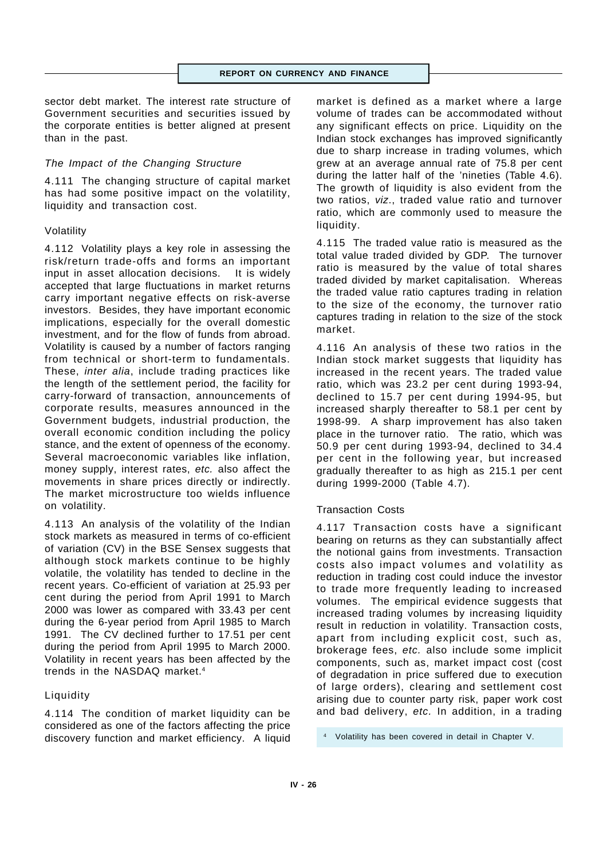sector debt market. The interest rate structure of Government securities and securities issued by the corporate entities is better aligned at present than in the past.

## *The Impact of the Changing Structure*

4.111 The changing structure of capital market has had some positive impact on the volatility, liquidity and transaction cost.

#### Volatility

4.112 Volatility plays a key role in assessing the risk/return trade-offs and forms an important input in asset allocation decisions. It is widely accepted that large fluctuations in market returns carry important negative effects on risk-averse investors. Besides, they have important economic implications, especially for the overall domestic investment, and for the flow of funds from abroad. Volatility is caused by a number of factors ranging from technical or short-term to fundamentals. These, *inter alia*, include trading practices like the length of the settlement period, the facility for carry-forward of transaction, announcements of corporate results, measures announced in the Government budgets, industrial production, the overall economic condition including the policy stance, and the extent of openness of the economy. Several macroeconomic variables like inflation, money supply, interest rates, *etc.* also affect the movements in share prices directly or indirectly. The market microstructure too wields influence on volatility.

4.113 An analysis of the volatility of the Indian stock markets as measured in terms of co-efficient of variation (CV) in the BSE Sensex suggests that although stock markets continue to be highly volatile, the volatility has tended to decline in the recent years. Co-efficient of variation at 25.93 per cent during the period from April 1991 to March 2000 was lower as compared with 33.43 per cent during the 6-year period from April 1985 to March 1991. The CV declined further to 17.51 per cent during the period from April 1995 to March 2000. Volatility in recent years has been affected by the trends in the NASDAQ market.<sup>4</sup>

#### Liquidity

4.114 The condition of market liquidity can be considered as one of the factors affecting the price discovery function and market efficiency. A liquid market is defined as a market where a large volume of trades can be accommodated without any significant effects on price. Liquidity on the Indian stock exchanges has improved significantly due to sharp increase in trading volumes, which grew at an average annual rate of 75.8 per cent during the latter half of the 'nineties (Table 4.6). The growth of liquidity is also evident from the two ratios, *viz*., traded value ratio and turnover ratio, which are commonly used to measure the liquidity.

4.115 The traded value ratio is measured as the total value traded divided by GDP. The turnover ratio is measured by the value of total shares traded divided by market capitalisation. Whereas the traded value ratio captures trading in relation to the size of the economy, the turnover ratio captures trading in relation to the size of the stock market.

4.116 An analysis of these two ratios in the Indian stock market suggests that liquidity has increased in the recent years. The traded value ratio, which was 23.2 per cent during 1993-94, declined to 15.7 per cent during 1994-95, but increased sharply thereafter to 58.1 per cent by 1998-99. A sharp improvement has also taken place in the turnover ratio. The ratio, which was 50.9 per cent during 1993-94, declined to 34.4 per cent in the following year, but increased gradually thereafter to as high as 215.1 per cent during 1999-2000 (Table 4.7).

#### Transaction Costs

4.117 Transaction costs have a significant bearing on returns as they can substantially affect the notional gains from investments. Transaction costs also impact volumes and volatility as reduction in trading cost could induce the investor to trade more frequently leading to increased volumes. The empirical evidence suggests that increased trading volumes by increasing liquidity result in reduction in volatility. Transaction costs, apart from including explicit cost, such as, brokerage fees, *etc.* also include some implicit components, such as, market impact cost (cost of degradation in price suffered due to execution of large orders), clearing and settlement cost arising due to counter party risk, paper work cost and bad delivery, *etc.* In addition, in a trading

<sup>4</sup> Volatility has been covered in detail in Chapter V.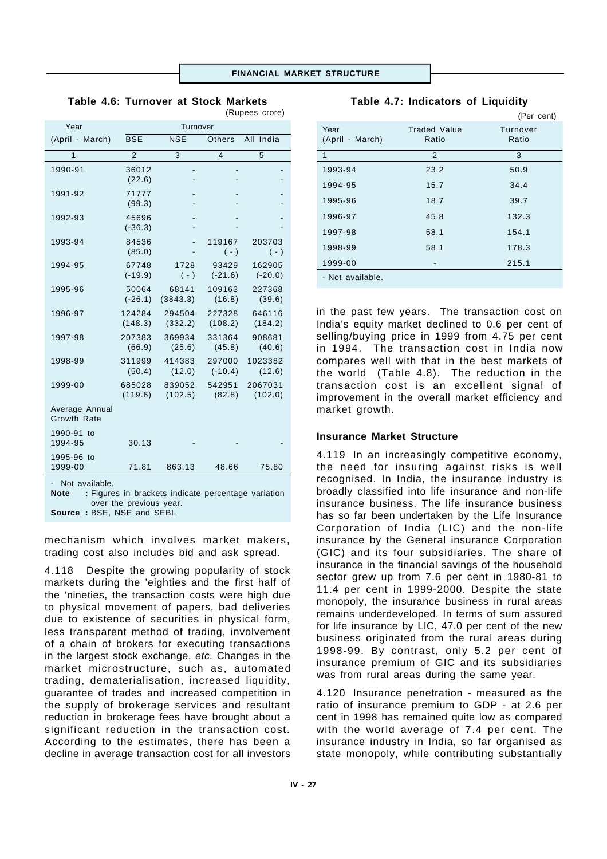|                                                                                                                 |                    |                   |                     | (Rupees crore)      |
|-----------------------------------------------------------------------------------------------------------------|--------------------|-------------------|---------------------|---------------------|
| Year                                                                                                            | Turnover           |                   |                     |                     |
| (April - March)                                                                                                 | <b>BSE</b>         | <b>NSE</b>        | Others              | All India           |
| 1                                                                                                               | $\overline{2}$     | 3                 | $\overline{4}$      | 5                   |
| 1990-91                                                                                                         | 36012<br>(22.6)    |                   |                     |                     |
| 1991-92                                                                                                         | 71777              |                   |                     |                     |
|                                                                                                                 | (99.3)             |                   |                     |                     |
| 1992-93                                                                                                         | 45696<br>$(-36.3)$ |                   |                     |                     |
| 1993-94                                                                                                         | 84536<br>(85.0)    |                   | 119167<br>$(-)$     | 203703<br>$(-)$     |
| 1994-95                                                                                                         | 67748<br>$(-19.9)$ | 1728<br>$(\cdot)$ | 93429<br>$(-21.6)$  | 162905<br>$(-20.0)$ |
| 1995-96                                                                                                         | 50064<br>$(-26.1)$ | 68141<br>(3843.3) | 109163<br>(16.8)    | 227368<br>(39.6)    |
| 1996-97                                                                                                         | 124284<br>(148.3)  | 294504<br>(332.2) | 227328<br>(108.2)   | 646116<br>(184.2)   |
| 1997-98                                                                                                         | 207383<br>(66.9)   | 369934<br>(25.6)  | 331364<br>(45.8)    | 908681<br>(40.6)    |
| 1998-99                                                                                                         | 311999<br>(50.4)   | 414383<br>(12.0)  | 297000<br>$(-10.4)$ | 1023382<br>(12.6)   |
| 1999-00                                                                                                         | 685028<br>(119.6)  | 839052<br>(102.5) | 542951<br>(82.8)    | 2067031<br>(102.0)  |
| Average Annual<br><b>Growth Rate</b>                                                                            |                    |                   |                     |                     |
| 1990-91 to<br>1994-95                                                                                           | 30.13              |                   |                     |                     |
| 1995-96 to<br>1999-00                                                                                           | 71.81              | 863.13            | 48.66               | 75.80               |
| Not available.<br><b>Note</b><br>: Figures in brackets indicate percentage variation<br>over the previous year. |                    |                   |                     |                     |

**Table 4.6: Turnover at Stock Markets**

(Per cent) Year Traded Value Turnover (April - March) Ratio Ratio 1  $2$  3 1993-94 23.2 50.9 1994-95 15.7 34.4 1995-96 18.7 39.7 1996-97 45.8 132.3 1997-98 58.1 154.1 1998-99 58.1 178.3 1999-00 - 215.1 - Not available.

**Table 4.7: Indicators of Liquidity**

in the past few years. The transaction cost on India's equity market declined to 0.6 per cent of selling/buying price in 1999 from 4.75 per cent in 1994. The transaction cost in India now compares well with that in the best markets of the world (Table 4.8). The reduction in the transaction cost is an excellent signal of improvement in the overall market efficiency and market growth.

#### **Insurance Market Structure**

4.119 In an increasingly competitive economy, the need for insuring against risks is well recognised. In India, the insurance industry is broadly classified into life insurance and non-life insurance business. The life insurance business has so far been undertaken by the Life Insurance Corporation of India (LIC) and the non-life insurance by the General insurance Corporation (GIC) and its four subsidiaries. The share of insurance in the financial savings of the household sector grew up from 7.6 per cent in 1980-81 to 11.4 per cent in 1999-2000. Despite the state monopoly, the insurance business in rural areas remains underdeveloped. In terms of sum assured for life insurance by LIC, 47.0 per cent of the new business originated from the rural areas during 1998-99. By contrast, only 5.2 per cent of insurance premium of GIC and its subsidiaries was from rural areas during the same year.

4.120 Insurance penetration - measured as the ratio of insurance premium to GDP - at 2.6 per cent in 1998 has remained quite low as compared with the world average of 7.4 per cent. The insurance industry in India, so far organised as state monopoly, while contributing substantially

| mechanism which involves market makers,        |  |  |
|------------------------------------------------|--|--|
| trading cost also includes bid and ask spread. |  |  |

**Source :** BSE, NSE and SEBI.

4.118 Despite the growing popularity of stock markets during the 'eighties and the first half of the 'nineties, the transaction costs were high due to physical movement of papers, bad deliveries due to existence of securities in physical form, less transparent method of trading, involvement of a chain of brokers for executing transactions in the largest stock exchange, *etc.* Changes in the market microstructure, such as, automated trading, dematerialisation, increased liquidity, guarantee of trades and increased competition in the supply of brokerage services and resultant reduction in brokerage fees have brought about a significant reduction in the transaction cost. According to the estimates, there has been a decline in average transaction cost for all investors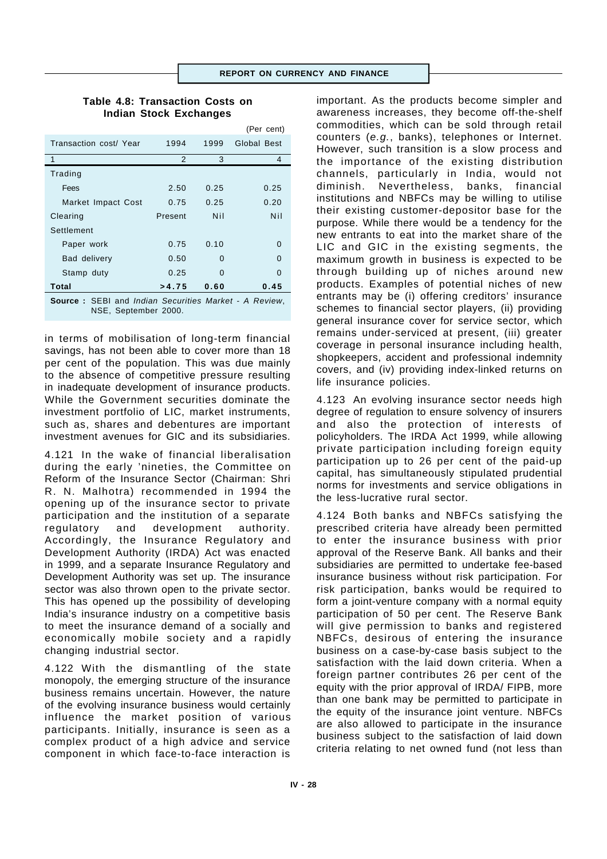## **Table 4.8: Transaction Costs on Indian Stock Exchanges**

|                                                                                      |         |      | (Per cent)  |
|--------------------------------------------------------------------------------------|---------|------|-------------|
| Transaction cost/ Year                                                               | 1994    | 1999 | Global Best |
| 1                                                                                    | 2       | 3    | 4           |
| Trading                                                                              |         |      |             |
| Fees                                                                                 | 2.50    | 0.25 | 0.25        |
| Market Impact Cost                                                                   | 0.75    | 0.25 | 0.20        |
| Clearing                                                                             | Present | Nil  | Nil         |
| Settlement                                                                           |         |      |             |
| Paper work                                                                           | 0.75    | 0.10 | 0           |
| Bad delivery                                                                         | 0.50    | O    | O           |
| Stamp duty                                                                           | 0.25    | 0    | O           |
| Total                                                                                | >4.75   | 0.60 | 0.45        |
| <b>Source:</b> SEBI and Indian Securities Market - A Review,<br>NSE, September 2000. |         |      |             |

in terms of mobilisation of long-term financial savings, has not been able to cover more than 18 per cent of the population. This was due mainly to the absence of competitive pressure resulting in inadequate development of insurance products. While the Government securities dominate the investment portfolio of LIC, market instruments, such as, shares and debentures are important investment avenues for GIC and its subsidiaries.

4.121 In the wake of financial liberalisation during the early 'nineties, the Committee on Reform of the Insurance Sector (Chairman: Shri R. N. Malhotra) recommended in 1994 the opening up of the insurance sector to private participation and the institution of a separate regulatory and development authority. Accordingly, the Insurance Regulatory and Development Authority (IRDA) Act was enacted in 1999, and a separate Insurance Regulatory and Development Authority was set up. The insurance sector was also thrown open to the private sector. This has opened up the possibility of developing India's insurance industry on a competitive basis to meet the insurance demand of a socially and economically mobile society and a rapidly changing industrial sector.

4.122 With the dismantling of the state monopoly, the emerging structure of the insurance business remains uncertain. However, the nature of the evolving insurance business would certainly influence the market position of various participants. Initially, insurance is seen as a complex product of a high advice and service component in which face-to-face interaction is

important. As the products become simpler and awareness increases, they become off-the-shelf commodities, which can be sold through retail counters (*e.g.*, banks), telephones or Internet. However, such transition is a slow process and the importance of the existing distribution channels, particularly in India, would not diminish. Nevertheless, banks, financial institutions and NBFCs may be willing to utilise their existing customer-depositor base for the purpose. While there would be a tendency for the new entrants to eat into the market share of the LIC and GIC in the existing segments, the maximum growth in business is expected to be through building up of niches around new products. Examples of potential niches of new entrants may be (i) offering creditors' insurance schemes to financial sector players, (ii) providing general insurance cover for service sector, which remains under-serviced at present, (iii) greater coverage in personal insurance including health, shopkeepers, accident and professional indemnity covers, and (iv) providing index-linked returns on life insurance policies.

4.123 An evolving insurance sector needs high degree of regulation to ensure solvency of insurers and also the protection of interests of policyholders. The IRDA Act 1999, while allowing private participation including foreign equity participation up to 26 per cent of the paid-up capital, has simultaneously stipulated prudential norms for investments and service obligations in the less-lucrative rural sector.

4.124 Both banks and NBFCs satisfying the prescribed criteria have already been permitted to enter the insurance business with prior approval of the Reserve Bank. All banks and their subsidiaries are permitted to undertake fee-based insurance business without risk participation. For risk participation, banks would be required to form a joint-venture company with a normal equity participation of 50 per cent. The Reserve Bank will give permission to banks and registered NBFCs, desirous of entering the insurance business on a case-by-case basis subject to the satisfaction with the laid down criteria. When a foreign partner contributes 26 per cent of the equity with the prior approval of IRDA/ FIPB, more than one bank may be permitted to participate in the equity of the insurance joint venture. NBFCs are also allowed to participate in the insurance business subject to the satisfaction of laid down criteria relating to net owned fund (not less than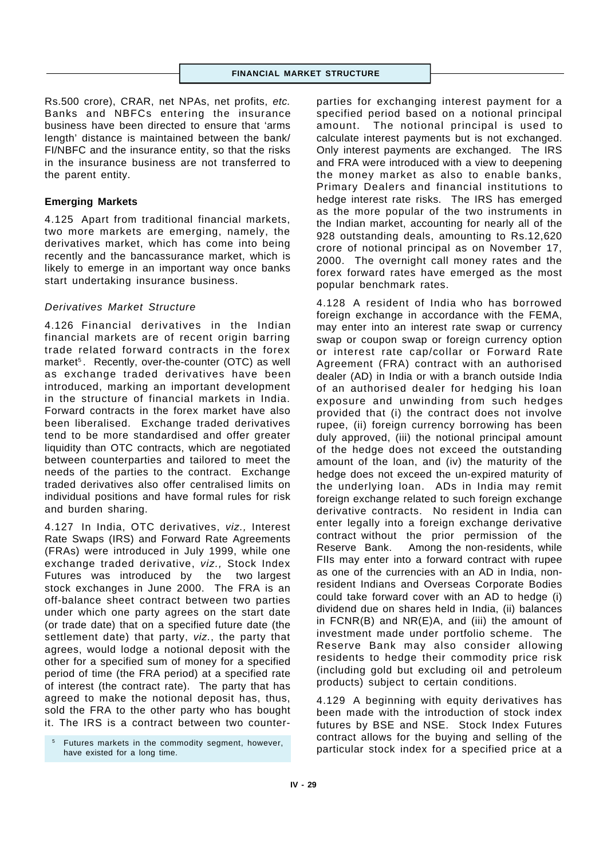Rs.500 crore), CRAR, net NPAs, net profits, *etc.* Banks and NBFCs entering the insurance business have been directed to ensure that 'arms length' distance is maintained between the bank/ FI/NBFC and the insurance entity, so that the risks in the insurance business are not transferred to the parent entity.

#### **Emerging Markets**

4.125 Apart from traditional financial markets, two more markets are emerging, namely, the derivatives market, which has come into being recently and the bancassurance market, which is likely to emerge in an important way once banks start undertaking insurance business.

# *Derivatives Market Structure*

4.126 Financial derivatives in the Indian financial markets are of recent origin barring trade related forward contracts in the forex market<sup>5</sup>. Recently, over-the-counter (OTC) as well as exchange traded derivatives have been introduced, marking an important development in the structure of financial markets in India. Forward contracts in the forex market have also been liberalised. Exchange traded derivatives tend to be more standardised and offer greater liquidity than OTC contracts, which are negotiated between counterparties and tailored to meet the needs of the parties to the contract. Exchange traded derivatives also offer centralised limits on individual positions and have formal rules for risk and burden sharing.

4.127 In India, OTC derivatives, *viz.,* Interest Rate Swaps (IRS) and Forward Rate Agreements (FRAs) were introduced in July 1999, while one exchange traded derivative, *viz.,* Stock Index Futures was introduced by the two largest stock exchanges in June 2000. The FRA is an off-balance sheet contract between two parties under which one party agrees on the start date (or trade date) that on a specified future date (the settlement date) that party, *viz.*, the party that agrees, would lodge a notional deposit with the other for a specified sum of money for a specified period of time (the FRA period) at a specified rate of interest (the contract rate). The party that has agreed to make the notional deposit has, thus, sold the FRA to the other party who has bought it. The IRS is a contract between two counter-

<sup>5</sup> Futures markets in the commodity segment, however, have existed for a long time.

parties for exchanging interest payment for a specified period based on a notional principal amount. The notional principal is used to calculate interest payments but is not exchanged. Only interest payments are exchanged. The IRS and FRA were introduced with a view to deepening the money market as also to enable banks, Primary Dealers and financial institutions to hedge interest rate risks. The IRS has emerged as the more popular of the two instruments in the Indian market, accounting for nearly all of the 928 outstanding deals, amounting to Rs.12,620 crore of notional principal as on November 17, 2000. The overnight call money rates and the forex forward rates have emerged as the most popular benchmark rates.

4.128 A resident of India who has borrowed foreign exchange in accordance with the FEMA, may enter into an interest rate swap or currency swap or coupon swap or foreign currency option or interest rate cap/collar or Forward Rate Agreement (FRA) contract with an authorised dealer (AD) in India or with a branch outside India of an authorised dealer for hedging his loan exposure and unwinding from such hedges provided that (i) the contract does not involve rupee, (ii) foreign currency borrowing has been duly approved, (iii) the notional principal amount of the hedge does not exceed the outstanding amount of the loan, and (iv) the maturity of the hedge does not exceed the un-expired maturity of the underlying loan. ADs in India may remit foreign exchange related to such foreign exchange derivative contracts. No resident in India can enter legally into a foreign exchange derivative contract without the prior permission of the Reserve Bank. Among the non-residents, while FIIs may enter into a forward contract with rupee as one of the currencies with an AD in India, nonresident Indians and Overseas Corporate Bodies could take forward cover with an AD to hedge (i) dividend due on shares held in India, (ii) balances in FCNR(B) and NR(E)A, and (iii) the amount of investment made under portfolio scheme. The Reserve Bank may also consider allowing residents to hedge their commodity price risk (including gold but excluding oil and petroleum products) subject to certain conditions.

4.129 A beginning with equity derivatives has been made with the introduction of stock index futures by BSE and NSE. Stock Index Futures contract allows for the buying and selling of the particular stock index for a specified price at a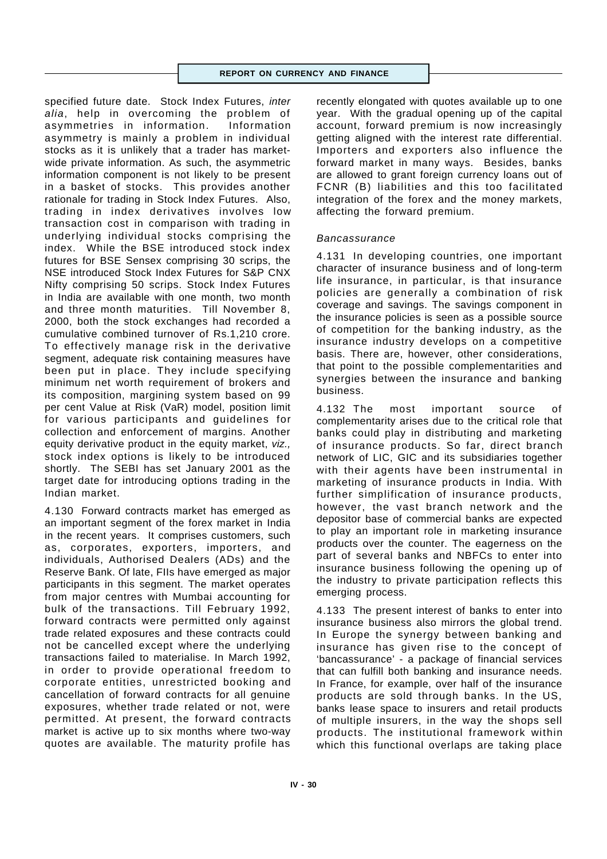specified future date. Stock Index Futures, *inter alia*, help in overcoming the problem of asymmetries in information. Information asymmetry is mainly a problem in individual stocks as it is unlikely that a trader has marketwide private information. As such, the asymmetric information component is not likely to be present in a basket of stocks. This provides another rationale for trading in Stock Index Futures. Also, trading in index derivatives involves low transaction cost in comparison with trading in underlying individual stocks comprising the index. While the BSE introduced stock index futures for BSE Sensex comprising 30 scrips, the NSE introduced Stock Index Futures for S&P CNX Nifty comprising 50 scrips. Stock Index Futures in India are available with one month, two month and three month maturities. Till November 8, 2000, both the stock exchanges had recorded a cumulative combined turnover of Rs.1,210 crore. To effectively manage risk in the derivative segment, adequate risk containing measures have been put in place. They include specifying minimum net worth requirement of brokers and its composition, margining system based on 99 per cent Value at Risk (VaR) model, position limit for various participants and guidelines for collection and enforcement of margins. Another equity derivative product in the equity market, *viz.,* stock index options is likely to be introduced shortly. The SEBI has set January 2001 as the target date for introducing options trading in the Indian market.

4.130 Forward contracts market has emerged as an important segment of the forex market in India in the recent years. It comprises customers, such as, corporates, exporters, importers, and individuals, Authorised Dealers (ADs) and the Reserve Bank. Of late, FIIs have emerged as major participants in this segment. The market operates from major centres with Mumbai accounting for bulk of the transactions. Till February 1992, forward contracts were permitted only against trade related exposures and these contracts could not be cancelled except where the underlying transactions failed to materialise. In March 1992, in order to provide operational freedom to corporate entities, unrestricted booking and cancellation of forward contracts for all genuine exposures, whether trade related or not, were permitted. At present, the forward contracts market is active up to six months where two-way quotes are available. The maturity profile has

recently elongated with quotes available up to one year. With the gradual opening up of the capital account, forward premium is now increasingly getting aligned with the interest rate differential. Importers and exporters also influence the forward market in many ways. Besides, banks are allowed to grant foreign currency loans out of FCNR (B) liabilities and this too facilitated integration of the forex and the money markets, affecting the forward premium.

# *Bancassurance*

4.131 In developing countries, one important character of insurance business and of long-term life insurance, in particular, is that insurance policies are generally a combination of risk coverage and savings. The savings component in the insurance policies is seen as a possible source of competition for the banking industry, as the insurance industry develops on a competitive basis. There are, however, other considerations, that point to the possible complementarities and synergies between the insurance and banking business.

4.132 The most important source of complementarity arises due to the critical role that banks could play in distributing and marketing of insurance products. So far, direct branch network of LIC, GIC and its subsidiaries together with their agents have been instrumental in marketing of insurance products in India. With further simplification of insurance products, however, the vast branch network and the depositor base of commercial banks are expected to play an important role in marketing insurance products over the counter. The eagerness on the part of several banks and NBFCs to enter into insurance business following the opening up of the industry to private participation reflects this emerging process.

4.133 The present interest of banks to enter into insurance business also mirrors the global trend. In Europe the synergy between banking and insurance has given rise to the concept of 'bancassurance' - a package of financial services that can fulfill both banking and insurance needs. In France, for example, over half of the insurance products are sold through banks. In the US, banks lease space to insurers and retail products of multiple insurers, in the way the shops sell products. The institutional framework within which this functional overlaps are taking place